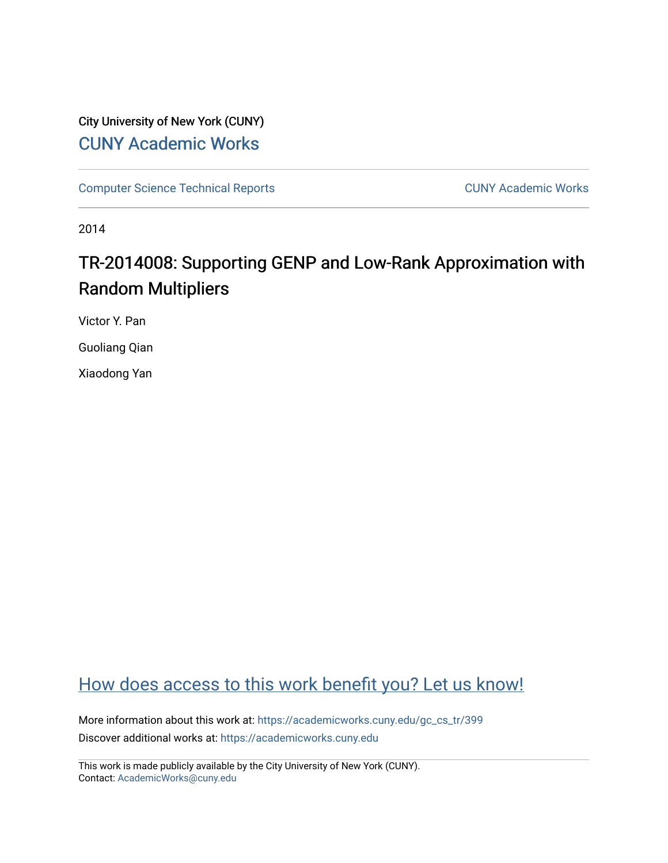## City University of New York (CUNY) [CUNY Academic Works](https://academicworks.cuny.edu/)

[Computer Science Technical Reports](https://academicworks.cuny.edu/gc_cs_tr) **CUNY Academic Works** CUNY Academic Works

2014

# TR-2014008: Supporting GENP and Low-Rank Approximation with Random Multipliers

Victor Y. Pan

Guoliang Qian

Xiaodong Yan

## [How does access to this work benefit you? Let us know!](http://ols.cuny.edu/academicworks/?ref=https://academicworks.cuny.edu/gc_cs_tr/399)

More information about this work at: [https://academicworks.cuny.edu/gc\\_cs\\_tr/399](https://academicworks.cuny.edu/gc_cs_tr/399)  Discover additional works at: [https://academicworks.cuny.edu](https://academicworks.cuny.edu/?)

This work is made publicly available by the City University of New York (CUNY). Contact: [AcademicWorks@cuny.edu](mailto:AcademicWorks@cuny.edu)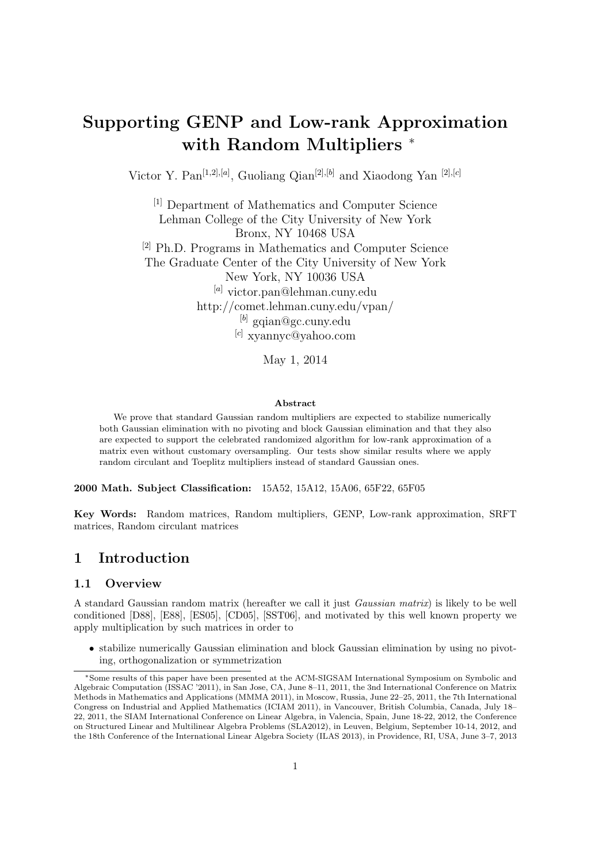# Supporting GENP and Low-rank Approximation with Random Multipliers  $*$

Victor Y. Pan<sup>[1,2],[a]</sup>, Guoliang Qian<sup>[2],[b]</sup> and Xiaodong Yan<sup>[2],[c]</sup>

[1] Department of Mathematics and Computer Science Lehman College of the City University of New York Bronx, NY 10468 USA [2] Ph.D. Programs in Mathematics and Computer Science The Graduate Center of the City University of New York New York, NY 10036 USA [a] victor.pan@lehman.cuny.edu http://comet.lehman.cuny.edu/vpan/  $^{[b]}$  gqian@gc.cuny.edu [c] xyannyc@yahoo.com

May 1, 2014

#### Abstract

We prove that standard Gaussian random multipliers are expected to stabilize numerically both Gaussian elimination with no pivoting and block Gaussian elimination and that they also are expected to support the celebrated randomized algorithm for low-rank approximation of a matrix even without customary oversampling. Our tests show similar results where we apply random circulant and Toeplitz multipliers instead of standard Gaussian ones.

2000 Math. Subject Classification: 15A52, 15A12, 15A06, 65F22, 65F05

Key Words: Random matrices, Random multipliers, GENP, Low-rank approximation, SRFT matrices, Random circulant matrices

### 1 Introduction

#### 1.1 Overview

A standard Gaussian random matrix (hereafter we call it just Gaussian matrix) is likely to be well conditioned [D88], [E88], [ES05], [CD05], [SST06], and motivated by this well known property we apply multiplication by such matrices in order to

• stabilize numerically Gaussian elimination and block Gaussian elimination by using no pivoting, orthogonalization or symmetrization

<sup>∗</sup>Some results of this paper have been presented at the ACM-SIGSAM International Symposium on Symbolic and Algebraic Computation (ISSAC '2011), in San Jose, CA, June 8–11, 2011, the 3nd International Conference on Matrix Methods in Mathematics and Applications (MMMA 2011), in Moscow, Russia, June 22–25, 2011, the 7th International Congress on Industrial and Applied Mathematics (ICIAM 2011), in Vancouver, British Columbia, Canada, July 18– 22, 2011, the SIAM International Conference on Linear Algebra, in Valencia, Spain, June 18-22, 2012, the Conference on Structured Linear and Multilinear Algebra Problems (SLA2012), in Leuven, Belgium, September 10-14, 2012, and the 18th Conference of the International Linear Algebra Society (ILAS 2013), in Providence, RI, USA, June 3–7, 2013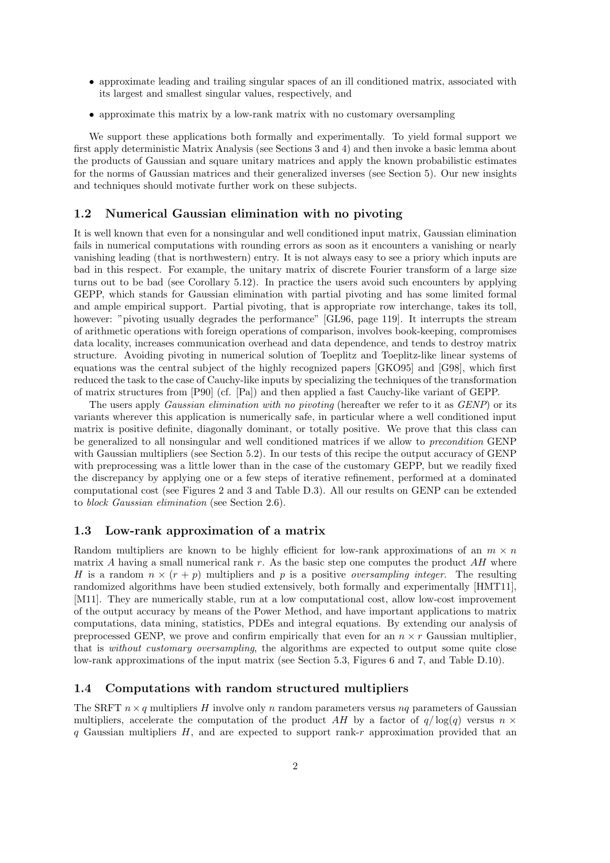- approximate leading and trailing singular spaces of an ill conditioned matrix, associated with its largest and smallest singular values, respectively, and
- approximate this matrix by a low-rank matrix with no customary oversampling

We support these applications both formally and experimentally. To yield formal support we first apply deterministic Matrix Analysis (see Sections 3 and 4) and then invoke a basic lemma about the products of Gaussian and square unitary matrices and apply the known probabilistic estimates for the norms of Gaussian matrices and their generalized inverses (see Section 5). Our new insights and techniques should motivate further work on these subjects.

#### 1.2 Numerical Gaussian elimination with no pivoting

It is well known that even for a nonsingular and well conditioned input matrix, Gaussian elimination fails in numerical computations with rounding errors as soon as it encounters a vanishing or nearly vanishing leading (that is northwestern) entry. It is not always easy to see a priory which inputs are bad in this respect. For example, the unitary matrix of discrete Fourier transform of a large size turns out to be bad (see Corollary 5.12). In practice the users avoid such encounters by applying GEPP, which stands for Gaussian elimination with partial pivoting and has some limited formal and ample empirical support. Partial pivoting, that is appropriate row interchange, takes its toll, however: "pivoting usually degrades the performance" [GL96, page 119]. It interrupts the stream of arithmetic operations with foreign operations of comparison, involves book-keeping, compromises data locality, increases communication overhead and data dependence, and tends to destroy matrix structure. Avoiding pivoting in numerical solution of Toeplitz and Toeplitz-like linear systems of equations was the central subject of the highly recognized papers [GKO95] and [G98], which first reduced the task to the case of Cauchy-like inputs by specializing the techniques of the transformation of matrix structures from [P90] (cf. [Pa]) and then applied a fast Cauchy-like variant of GEPP.

The users apply *Gaussian elimination with no pivoting* (hereafter we refer to it as *GENP*) or its variants wherever this application is numerically safe, in particular where a well conditioned input matrix is positive definite, diagonally dominant, or totally positive. We prove that this class can be generalized to all nonsingular and well conditioned matrices if we allow to precondition GENP with Gaussian multipliers (see Section 5.2). In our tests of this recipe the output accuracy of GENP with preprocessing was a little lower than in the case of the customary GEPP, but we readily fixed the discrepancy by applying one or a few steps of iterative refinement, performed at a dominated computational cost (see Figures 2 and 3 and Table D.3). All our results on GENP can be extended to block Gaussian elimination (see Section 2.6).

### 1.3 Low-rank approximation of a matrix

Random multipliers are known to be highly efficient for low-rank approximations of an  $m \times n$ matrix A having a small numerical rank r. As the basic step one computes the product  $AH$  where H is a random  $n \times (r + p)$  multipliers and p is a positive *oversampling integer*. The resulting randomized algorithms have been studied extensively, both formally and experimentally [HMT11], [M11]. They are numerically stable, run at a low computational cost, allow low-cost improvement of the output accuracy by means of the Power Method, and have important applications to matrix computations, data mining, statistics, PDEs and integral equations. By extending our analysis of preprocessed GENP, we prove and confirm empirically that even for an  $n \times r$  Gaussian multiplier, that is without customary oversampling, the algorithms are expected to output some quite close low-rank approximations of the input matrix (see Section 5.3, Figures 6 and 7, and Table D.10).

### 1.4 Computations with random structured multipliers

The SRFT  $n \times q$  multipliers H involve only n random parameters versus nq parameters of Gaussian multipliers, accelerate the computation of the product AH by a factor of  $q/\log(q)$  versus  $n \times$ q Gaussian multipliers  $H$ , and are expected to support rank-r approximation provided that an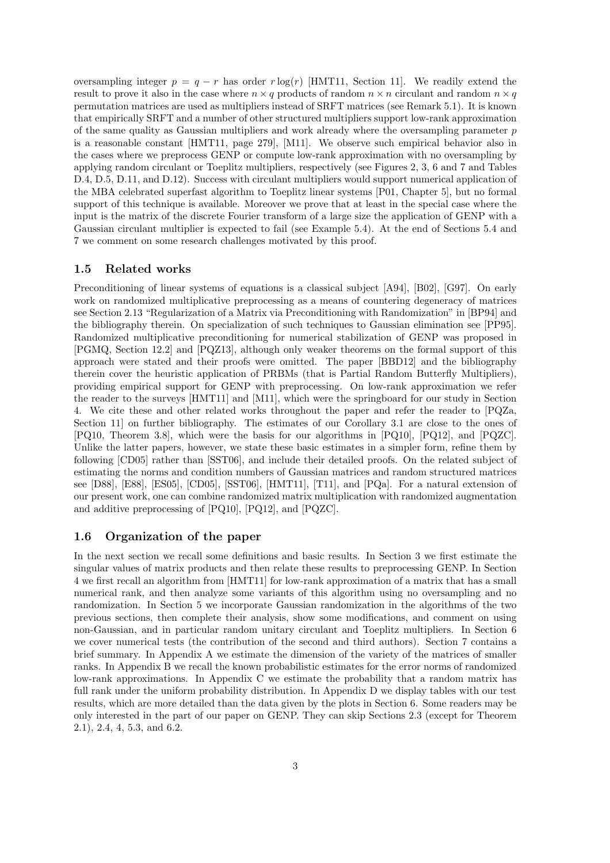oversampling integer  $p = q - r$  has order  $r \log(r)$  [HMT11, Section 11]. We readily extend the result to prove it also in the case where  $n \times q$  products of random  $n \times n$  circulant and random  $n \times q$ permutation matrices are used as multipliers instead of SRFT matrices (see Remark 5.1). It is known that empirically SRFT and a number of other structured multipliers support low-rank approximation of the same quality as Gaussian multipliers and work already where the oversampling parameter  $p$ is a reasonable constant [HMT11, page 279], [M11]. We observe such empirical behavior also in the cases where we preprocess GENP or compute low-rank approximation with no oversampling by applying random circulant or Toeplitz multipliers, respectively (see Figures 2, 3, 6 and 7 and Tables D.4, D.5, D.11, and D.12). Success with circulant multipliers would support numerical application of the MBA celebrated superfast algorithm to Toeplitz linear systems [P01, Chapter 5], but no formal support of this technique is available. Moreover we prove that at least in the special case where the input is the matrix of the discrete Fourier transform of a large size the application of GENP with a Gaussian circulant multiplier is expected to fail (see Example 5.4). At the end of Sections 5.4 and 7 we comment on some research challenges motivated by this proof.

### 1.5 Related works

Preconditioning of linear systems of equations is a classical subject [A94], [B02], [G97]. On early work on randomized multiplicative preprocessing as a means of countering degeneracy of matrices see Section 2.13 "Regularization of a Matrix via Preconditioning with Randomization" in [BP94] and the bibliography therein. On specialization of such techniques to Gaussian elimination see [PP95]. Randomized multiplicative preconditioning for numerical stabilization of GENP was proposed in [PGMQ, Section 12.2] and [PQZ13], although only weaker theorems on the formal support of this approach were stated and their proofs were omitted. The paper [BBD12] and the bibliography therein cover the heuristic application of PRBMs (that is Partial Random Butterfly Multipliers), providing empirical support for GENP with preprocessing. On low-rank approximation we refer the reader to the surveys [HMT11] and [M11], which were the springboard for our study in Section 4. We cite these and other related works throughout the paper and refer the reader to [PQZa, Section 11] on further bibliography. The estimates of our Corollary 3.1 are close to the ones of [PQ10, Theorem 3.8], which were the basis for our algorithms in [PQ10], [PQ12], and [PQZC]. Unlike the latter papers, however, we state these basic estimates in a simpler form, refine them by following [CD05] rather than [SST06], and include their detailed proofs. On the related subject of estimating the norms and condition numbers of Gaussian matrices and random structured matrices see [D88], [E88], [ES05], [CD05], [SST06], [HMT11], [T11], and [PQa]. For a natural extension of our present work, one can combine randomized matrix multiplication with randomized augmentation and additive preprocessing of [PQ10], [PQ12], and [PQZC].

### 1.6 Organization of the paper

In the next section we recall some definitions and basic results. In Section 3 we first estimate the singular values of matrix products and then relate these results to preprocessing GENP. In Section 4 we first recall an algorithm from [HMT11] for low-rank approximation of a matrix that has a small numerical rank, and then analyze some variants of this algorithm using no oversampling and no randomization. In Section 5 we incorporate Gaussian randomization in the algorithms of the two previous sections, then complete their analysis, show some modifications, and comment on using non-Gaussian, and in particular random unitary circulant and Toeplitz multipliers. In Section 6 we cover numerical tests (the contribution of the second and third authors). Section 7 contains a brief summary. In Appendix A we estimate the dimension of the variety of the matrices of smaller ranks. In Appendix B we recall the known probabilistic estimates for the error norms of randomized low-rank approximations. In Appendix C we estimate the probability that a random matrix has full rank under the uniform probability distribution. In Appendix D we display tables with our test results, which are more detailed than the data given by the plots in Section 6. Some readers may be only interested in the part of our paper on GENP. They can skip Sections 2.3 (except for Theorem 2.1), 2.4, 4, 5.3, and 6.2.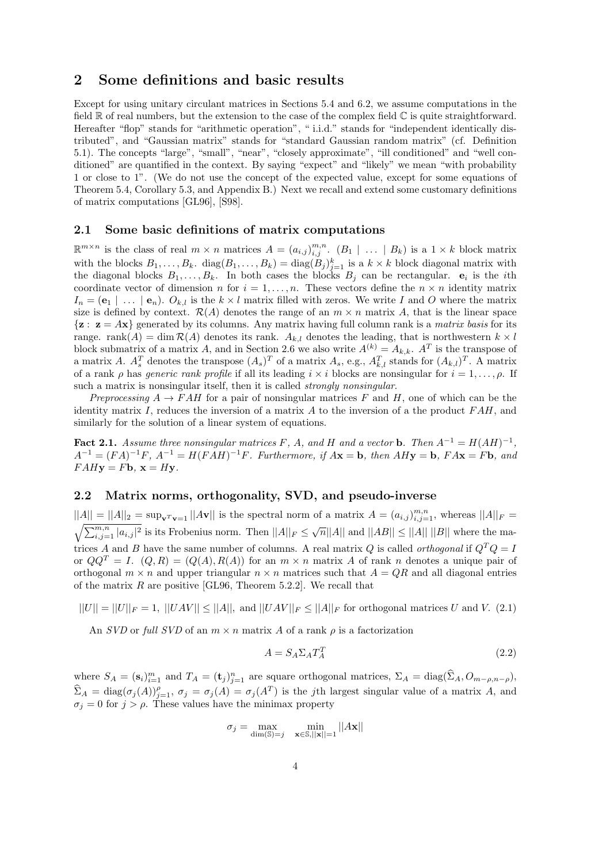### 2 Some definitions and basic results

Except for using unitary circulant matrices in Sections 5.4 and 6.2, we assume computations in the field  $\mathbb R$  of real numbers, but the extension to the case of the complex field  $\mathbb C$  is quite straightforward. Hereafter "flop" stands for "arithmetic operation", " i.i.d." stands for "independent identically distributed", and "Gaussian matrix" stands for "standard Gaussian random matrix" (cf. Definition 5.1). The concepts "large", "small", "near", "closely approximate", "ill conditioned" and "well conditioned" are quantified in the context. By saying "expect" and "likely" we mean "with probability" 1 or close to 1". (We do not use the concept of the expected value, except for some equations of Theorem 5.4, Corollary 5.3, and Appendix B.) Next we recall and extend some customary definitions of matrix computations [GL96], [S98].

### 2.1 Some basic definitions of matrix computations

 $\mathbb{R}^{m \times n}$  is the class of real  $m \times n$  matrices  $A = (a_{i,j})_{i,j}^{m,n}$ .  $(B_1 \mid \ldots \mid B_k)$  is a  $1 \times k$  block matrix with the blocks  $B_1, \ldots, B_k$ .  $diag(B_1, \ldots, B_k) = diag(B_j)_{j=1}^k$  is a  $k \times k$  block diagonal matrix with the diagonal blocks  $B_1, \ldots, B_k$ . In both cases the blocks  $B_j$  can be rectangular.  $e_i$  is the *i*th coordinate vector of dimension n for  $i = 1, \ldots, n$ . These vectors define the  $n \times n$  identity matrix  $I_n = (e_1 \mid \ldots \mid e_n)$ .  $O_{k,l}$  is the  $k \times l$  matrix filled with zeros. We write I and O where the matrix size is defined by context.  $\mathcal{R}(A)$  denotes the range of an  $m \times n$  matrix A, that is the linear space  $\{z : z = Ax\}$  generated by its columns. Any matrix having full column rank is a *matrix basis* for its range. rank(A) = dim  $\mathcal{R}(A)$  denotes its rank.  $A_{k,l}$  denotes the leading, that is northwestern  $k \times l$ block submatrix of a matrix A, and in Section 2.6 we also write  $A^{(k)} = A_{k,k}$ .  $A^{T}$  is the transpose of a matrix A.  $A_s^T$  denotes the transpose  $(A_s)^T$  of a matrix  $A_s$ , e.g.,  $A_{k,l}^T$  stands for  $(A_{k,l})^T$ . A matrix of a rank  $\rho$  has *generic rank profile* if all its leading  $i \times i$  blocks are nonsingular for  $i = 1, \ldots, \rho$ . If such a matrix is nonsingular itself, then it is called *strongly nonsingular*.

Preprocessing  $A \to FAH$  for a pair of nonsingular matrices F and H, one of which can be the identity matrix I, reduces the inversion of a matrix A to the inversion of a the product  $FAH$ , and similarly for the solution of a linear system of equations.

**Fact 2.1.** Assume three nonsingular matrices F, A, and H and a vector **b**. Then  $A^{-1} = H(AH)^{-1}$ ,  $A^{-1} = (FA)^{-1}F$ ,  $A^{-1} = H(FAH)^{-1}F$ . Furthermore, if  $A\mathbf{x} = \mathbf{b}$ , then  $AH\mathbf{y} = \mathbf{b}$ ,  $FA\mathbf{x} = F\mathbf{b}$ , and  $FAHy = F\mathbf{b}$ ,  $\mathbf{x} = Hy$ .

### 2.2 Matrix norms, orthogonality, SVD, and pseudo-inverse

 $||A|| = ||A||_2 = \sup_{\mathbf{v} \in \mathcal{V}} ||A\mathbf{v}||$  is the spectral norm of a matrix  $A = (a_{i,j})_{i,j=1}^{m,n}$  $||A|| = ||A||_2 = \sup_{\mathbf{v}^T \mathbf{v} = 1} ||A\mathbf{v}||$  is the spectral norm of a matrix  $A = (a_{i,j})_{i,j=1}^{m,n}$ , whereas  $||A||_F = \sqrt{\sum_{i,j=1}^{m,n} |a_{i,j}|^2}$  is its Frobenius norm. Then  $||A||_F \le \sqrt{n} ||A||$  and  $||AB|| \le ||A|| ||B||$  where the matrices A and B have the same number of columns. A real matrix Q is called *orthogonal* if  $Q^TQ = I$ or  $QQ^T = I$ .  $(Q, R) = (Q(A), R(A))$  for an  $m \times n$  matrix A of rank n denotes a unique pair of orthogonal  $m \times n$  and upper triangular  $n \times n$  matrices such that  $A = QR$  and all diagonal entries of the matrix  $R$  are positive [GL96, Theorem 5.2.2]. We recall that

 $||U|| = ||U||_F = 1$ ,  $||UAV|| \le ||A||$ , and  $||UAV||_F \le ||A||_F$  for orthogonal matrices U and V. (2.1)

An SVD or full SVD of an  $m \times n$  matrix A of a rank  $\rho$  is a factorization

$$
A = S_A \Sigma_A T_A^T \tag{2.2}
$$

where  $S_A = (\mathbf{s}_i)_{i=1}^m$  and  $T_A = (\mathbf{t}_j)_{j=1}^n$  are square orthogonal matrices,  $\Sigma_A = \text{diag}(\hat{\Sigma}_A, O_{m-\rho,n-\rho}),$  $\widehat{\Sigma}_A = \text{diag}(\sigma_j(A))_{j=1}^{\rho}, \ \sigma_j = \sigma_j(A) = \sigma_j(A^T)$  is the jth largest singular value of a matrix A, and  $\sigma_j = 0$  for  $j > \rho$ . These values have the minimax property

$$
\sigma_j = \max_{\dim(\mathbb{S}) = j} \quad \min_{\mathbf{x} \in \mathbb{S}, ||\mathbf{x}|| = 1} ||A\mathbf{x}||
$$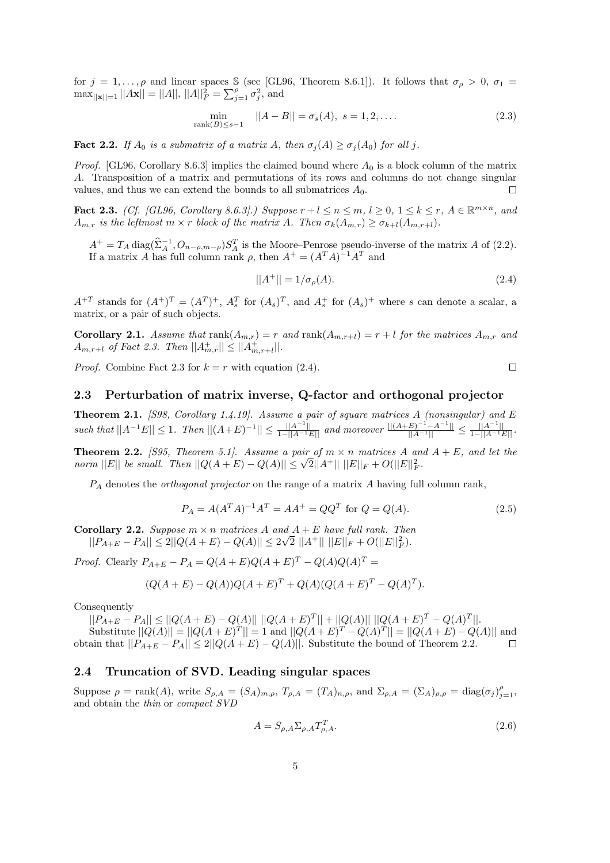for  $j = 1, \ldots, \rho$  and linear spaces S (see [GL96, Theorem 8.6.1]). It follows that  $\sigma_{\rho} > 0$ ,  $\sigma_1 =$  $\max_{||\mathbf{x}||=1} ||A\mathbf{x}|| = ||A||, ||A||_F^2 = \sum_{j=1}^{\rho} \sigma_j^2$ , and

$$
\min_{\text{rank}(B) \le s-1} ||A - B|| = \sigma_s(A), \ s = 1, 2, .... \tag{2.3}
$$

**Fact 2.2.** If  $A_0$  is a submatrix of a matrix A, then  $\sigma_j(A) \geq \sigma_j(A_0)$  for all j.

*Proof.* [GL96, Corollary 8.6.3] implies the claimed bound where  $A_0$  is a block column of the matrix A. Transposition of a matrix and permutations of its rows and columns do not change singular values, and thus we can extend the bounds to all submatrices  $A_0$ .  $\Box$ 

Fact 2.3. (Cf. [GL96, Corollary 8.6.3].) Suppose  $r + l \leq n \leq m, l \geq 0, 1 \leq k \leq r, A \in \mathbb{R}^{m \times n}$ , and  $A_{m,r}$  is the leftmost  $m \times r$  block of the matrix A. Then  $\sigma_k(A_{m,r}) \geq \sigma_{k+l}(A_{m,r+l}).$ 

 $A^+ = T_A \operatorname{diag}(\hat{\Sigma}_A^{-1}, O_{n-\rho,m-\rho}) S_A^T$  is the Moore–Penrose pseudo-inverse of the matrix A of (2.2). If a matrix A has full column rank  $\rho$ , then  $A^+ = (A^T A)^{-1} A^T$  and

$$
||A^{+}|| = 1/\sigma_{\rho}(A). \tag{2.4}
$$

 $\Box$ 

 $A^{+T}$  stands for  $(A^+)^T = (A^T)^+$ ,  $A_s^T$  for  $(A_s)^T$ , and  $A_s^+$  for  $(A_s)^+$  where s can denote a scalar, a matrix, or a pair of such objects.

**Corollary 2.1.** Assume that  $rank(A_{m,r}) = r$  and  $rank(A_{m,r+l}) = r + l$  for the matrices  $A_{m,r}$  and  $A_{m,r+l}$  of Fact 2.3. Then  $||A_{m,r}^+|| \leq ||A_{m,r+l}^+||.$ 

*Proof.* Combine Fact 2.3 for  $k = r$  with equation (2.4).

#### 2.3 Perturbation of matrix inverse, Q-factor and orthogonal projector

**Theorem 2.1.** [S98, Corollary 1.4.19]. Assume a pair of square matrices A (nonsingular) and E such that  $||A^{-1}E|| \leq 1$ . Then  $||(A+E)^{-1}|| \leq \frac{||A^{-1}||}{1-||A^{-1}E||}$  and moreover  $\frac{||(A+E)^{-1}-A^{-1}||}{||A^{-1}||} \leq \frac{||A^{-1}||}{1-||A^{-1}E||}$ .

**Theorem 2.2.** [S95, Theorem 5.1]. Assume a pair of  $m \times n$  matrices A and  $A + E$ , and let the norm  $||E||$  be small. Then  $||Q(A + E) - Q(A)|| \le \sqrt{2}||A^+|| ||E||_F + O(||E||_F^2)$ .

 $P_A$  denotes the *orthogonal projector* on the range of a matrix  $A$  having full column rank,

$$
P_A = A(A^T A)^{-1} A^T = A A^+ = Q Q^T \text{ for } Q = Q(A).
$$
 (2.5)

**Corollary 2.2.** Suppose  $m \times n$  matrices A and  $A + E$  have full rank. Then  $||P_{A+E} - P_A|| \leq 2||Q(A+E) - Q(A)|| \leq 2\sqrt{2}||A^+|| ||E||_F + O(||E||_F^2).$ 

*Proof.* Clearly  $P_{A+E} - P_A = Q(A+E)Q(A+E)^T - Q(A)Q(A)^T =$ 

$$
(Q(A + E) - Q(A))Q(A + E)^{T} + Q(A)(Q(A + E)^{T} - Q(A)^{T}).
$$

Consequently

 $||P_{A+E} - P_A|| \le ||Q(A+E) - Q(A)|| \, ||Q(A+E)^T|| + ||Q(A)|| \, ||Q(A+E)^T - Q(A)^T||.$ 

Substitute  $||Q(A)|| = ||Q(A+E)^{T}|| = 1$  and  $||Q(A+E)^{T} - Q(A)^{T}|| = ||Q(A+E) - Q(A)||$  and obtain that  $||P_{A+E} - P_A|| \leq 2||Q(A+E) - Q(A)||$ . Substitute the bound of Theorem 2.2.

#### 2.4 Truncation of SVD. Leading singular spaces

Suppose  $\rho = \text{rank}(A)$ , write  $S_{\rho,A} = (S_A)_{m,\rho}$ ,  $T_{\rho,A} = (T_A)_{n,\rho}$ , and  $\Sigma_{\rho,A} = (\Sigma_A)_{\rho,\rho} = \text{diag}(\sigma_j)_{j=1}^{\rho}$ , and obtain the thin or compact SVD

$$
A = S_{\rho,A} \Sigma_{\rho,A} T_{\rho,A}^T. \tag{2.6}
$$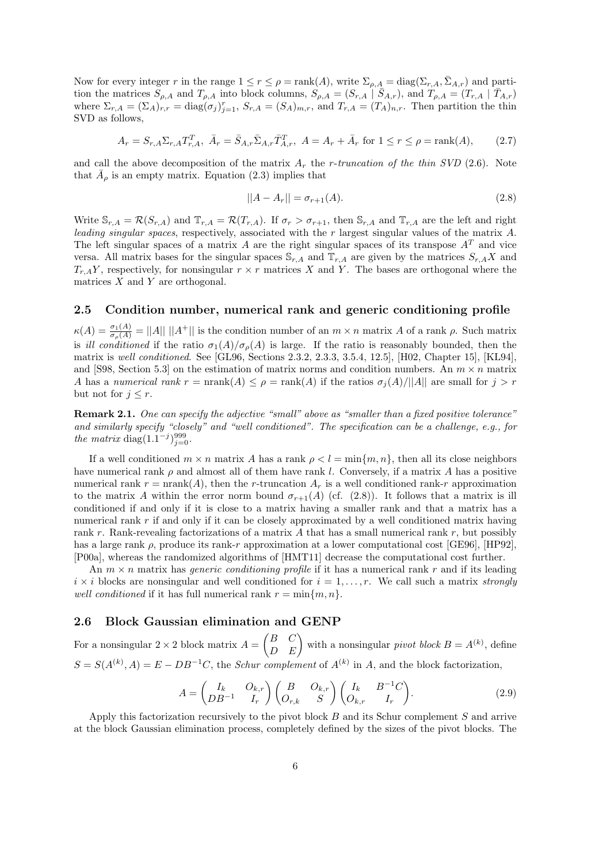Now for every integer r in the range  $1 \le r \le \rho = \text{rank}(A)$ , write  $\Sigma_{\rho,A} = \text{diag}(\Sigma_{r,A}, \overline{\Sigma}_{A,r})$  and partition the matrices  $S_{\rho,A}$  and  $T_{\rho,A}$  into block columns,  $S_{\rho,A} = (S_{r,A} | \bar{S}_{A,r})$ , and  $T_{\rho,A} = (T_{r,A} | \bar{T}_{A,r})$ where  $\Sigma_{r,A} = (\Sigma_A)_{r,r} = \text{diag}(\sigma_j)_{j=1}^r$ ,  $S_{r,A} = (S_A)_{m,r}$ , and  $T_{r,A} = (T_A)_{n,r}$ . Then partition the thin SVD as follows,

$$
A_r = S_{r,A} \Sigma_{r,A} T_{r,A}^T, \ \bar{A}_r = \bar{S}_{A,r} \bar{\Sigma}_{A,r} \bar{T}_{A,r}^T, \ A = A_r + \bar{A}_r \text{ for } 1 \le r \le \rho = \text{rank}(A), \tag{2.7}
$$

and call the above decomposition of the matrix  $A_r$  the r-truncation of the thin SVD (2.6). Note that  $\overline{A}_{\rho}$  is an empty matrix. Equation (2.3) implies that

$$
||A - A_r|| = \sigma_{r+1}(A). \tag{2.8}
$$

Write  $\mathbb{S}_{r,A} = \mathcal{R}(S_{r,A})$  and  $\mathbb{T}_{r,A} = \mathcal{R}(T_{r,A})$ . If  $\sigma_r > \sigma_{r+1}$ , then  $\mathbb{S}_{r,A}$  and  $\mathbb{T}_{r,A}$  are the left and right leading singular spaces, respectively, associated with the r largest singular values of the matrix A. The left singular spaces of a matrix A are the right singular spaces of its transpose  $A<sup>T</sup>$  and vice versa. All matrix bases for the singular spaces  $\mathbb{S}_{r,A}$  and  $\mathbb{T}_{r,A}$  are given by the matrices  $S_{r,A}X$  and  $T_{r,A}Y$ , respectively, for nonsingular  $r \times r$  matrices X and Y. The bases are orthogonal where the matrices  $X$  and  $Y$  are orthogonal.

### 2.5 Condition number, numerical rank and generic conditioning profile

 $\kappa(A) = \frac{\sigma_1(A)}{\sigma_\rho(A)} = ||A|| \, ||A^+||$  is the condition number of an  $m \times n$  matrix A of a rank  $\rho$ . Such matrix is ill conditioned if the ratio  $\sigma_1(A)/\sigma_0(A)$  is large. If the ratio is reasonably bounded, then the matrix is well conditioned. See [GL96, Sections 2.3.2, 2.3.3, 3.5.4, 12.5], [H02, Chapter 15], [KL94], and [S98, Section 5.3] on the estimation of matrix norms and condition numbers. An  $m \times n$  matrix A has a numerical rank  $r = \text{nrank}(A) \leq \rho = \text{rank}(A)$  if the ratios  $\sigma_i(A)/||A||$  are small for  $j > r$ but not for  $j \leq r$ .

Remark 2.1. One can specify the adjective "small" above as "smaller than a fixed positive tolerance" and similarly specify "closely" and "well conditioned". The specification can be a challenge, e.g., for the matrix diag( $1.1^{-j}$ ) $_{j=0}^{999}$ .

If a well conditioned  $m \times n$  matrix A has a rank  $\rho < l = \min\{m, n\}$ , then all its close neighbors have numerical rank  $\rho$  and almost all of them have rank l. Conversely, if a matrix A has a positive numerical rank  $r = \text{nrank}(A)$ , then the r-truncation  $A_r$  is a well conditioned rank-r approximation to the matrix A within the error norm bound  $\sigma_{r+1}(A)$  (cf. (2.8)). It follows that a matrix is ill conditioned if and only if it is close to a matrix having a smaller rank and that a matrix has a numerical rank r if and only if it can be closely approximated by a well conditioned matrix having rank r. Rank-revealing factorizations of a matrix  $A$  that has a small numerical rank  $r$ , but possibly has a large rank  $\rho$ , produce its rank-r approximation at a lower computational cost [GE96], [HP92], [P00a], whereas the randomized algorithms of [HMT11] decrease the computational cost further.

An  $m \times n$  matrix has *generic conditioning profile* if it has a numerical rank r and if its leading  $i \times i$  blocks are nonsingular and well conditioned for  $i = 1, \ldots, r$ . We call such a matrix strongly well conditioned if it has full numerical rank  $r = \min\{m, n\}$ .

### 2.6 Block Gaussian elimination and GENP

For a nonsingular  $2 \times 2$  block matrix  $A =$  $\begin{pmatrix} B & C \\ D & E \end{pmatrix}$  with a nonsingular *pivot block*  $B = A^{(k)}$ , define  $S = S(A^{(k)}, A) = E - DB^{-1}C$ , the *Schur complement* of  $A^{(k)}$  in A, and the block factorization,

$$
A = \begin{pmatrix} I_k & O_{k,r} \\ DB^{-1} & I_r \end{pmatrix} \begin{pmatrix} B & O_{k,r} \\ O_{r,k} & S \end{pmatrix} \begin{pmatrix} I_k & B^{-1}C \\ O_{k,r} & I_r \end{pmatrix}.
$$
 (2.9)

Apply this factorization recursively to the pivot block  $B$  and its Schur complement  $S$  and arrive at the block Gaussian elimination process, completely defined by the sizes of the pivot blocks. The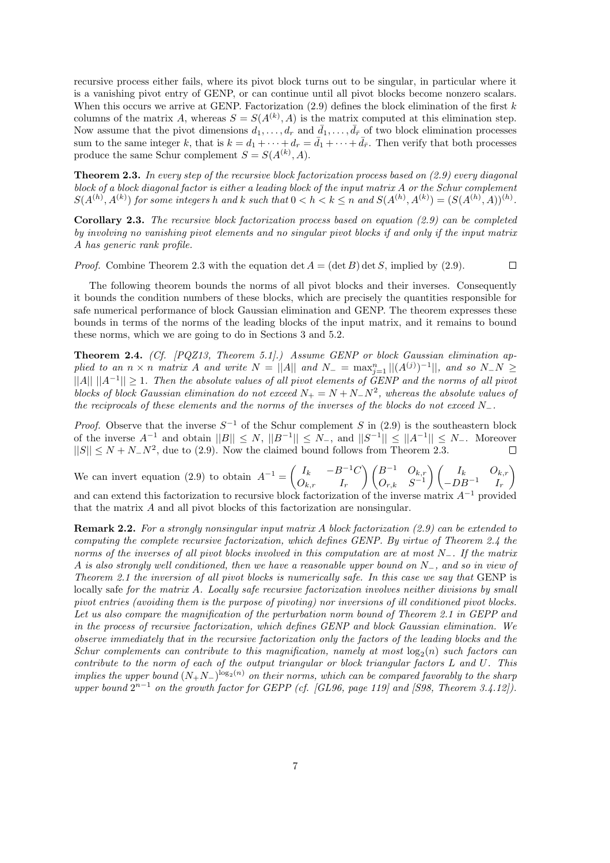recursive process either fails, where its pivot block turns out to be singular, in particular where it is a vanishing pivot entry of GENP, or can continue until all pivot blocks become nonzero scalars. When this occurs we arrive at GENP. Factorization  $(2.9)$  defines the block elimination of the first k columns of the matrix A, whereas  $S = S(A^{(k)}, A)$  is the matrix computed at this elimination step. Now assume that the pivot dimensions  $d_1, \ldots, d_r$  and  $\bar{d}_1, \ldots, \bar{d}_{\bar{r}}$  of two block elimination processes sum to the same integer k, that is  $k = d_1 + \cdots + d_r = \bar{d}_1 + \cdots + \bar{d}_{\bar{r}}$ . Then verify that both processes produce the same Schur complement  $S = S(A^{(k)}, A)$ .

**Theorem 2.3.** In every step of the recursive block factorization process based on  $(2.9)$  every diagonal block of a block diagonal factor is either a leading block of the input matrix A or the Schur complement  $S(A^{(h)}, A^{(k)})$  for some integers h and k such that  $0 < h < k \leq n$  and  $S(A^{(h)}, A^{(k)}) = (S(A^{(h)}, A))^{(h)}$ .

**Corollary 2.3.** The recursive block factorization process based on equation  $(2.9)$  can be completed by involving no vanishing pivot elements and no singular pivot blocks if and only if the input matrix A has generic rank profile.

*Proof.* Combine Theorem 2.3 with the equation det  $A = (\det B) \det S$ , implied by (2.9).  $\Box$ 

The following theorem bounds the norms of all pivot blocks and their inverses. Consequently it bounds the condition numbers of these blocks, which are precisely the quantities responsible for safe numerical performance of block Gaussian elimination and GENP. The theorem expresses these bounds in terms of the norms of the leading blocks of the input matrix, and it remains to bound these norms, which we are going to do in Sections 3 and 5.2.

**Theorem 2.4.** (Cf. [PQZ13, Theorem 5.1].) Assume GENP or block Gaussian elimination applied to an  $n \times n$  matrix A and write  $N = ||A||$  and  $N_- = \max_{j=1}^n ||(A^{(j)})^{-1}||$ , and so  $N_-N \geq$  $||A|| ||A^{-1}|| \geq 1$ . Then the absolute values of all pivot elements of GENP and the norms of all pivot blocks of block Gaussian elimination do not exceed  $N_+ = N + N_-N^2$ , whereas the absolute values of the reciprocals of these elements and the norms of the inverses of the blocks do not exceed  $N_{-}$ .

*Proof.* Observe that the inverse  $S^{-1}$  of the Schur complement S in (2.9) is the southeastern block of the inverse  $A^{-1}$  and obtain  $||B|| \le N$ ,  $||B^{-1}|| \le N$ , and  $||S^{-1}|| \le ||A^{-1}|| \le N$ . Moreover  $||S|| \le N + N_N^2$ , due to (2.9). Now the claimed bound follows from Theorem 2.3.

We can invert equation (2.9) to obtain  $A^{-1} = \begin{pmatrix} I_k & -B^{-1}C \\ 0 & I \end{pmatrix}$  $O_{k,r}$  I<sub>r</sub>  $\bigwedge B^{-1}$   $O_{k,r}$  $O_{r,k}$   $S^{-1}$  $\bigwedge$   $I_k$   $O_{k,r}$  $-DB^{-1}$   $I_r$  $\overline{ }$ and can extend this factorization to recursive block factorization of the inverse matrix  $A$ <sup>-</sup>

that the matrix A and all pivot blocks of this factorization are nonsingular.

Remark 2.2. For a strongly nonsingular input matrix A block factorization (2.9) can be extended to computing the complete recursive factorization, which defines GENP. By virtue of Theorem 2.4 the norms of the inverses of all pivot blocks involved in this computation are at most N<sub>−</sub>. If the matrix A is also strongly well conditioned, then we have a reasonable upper bound on N−, and so in view of Theorem 2.1 the inversion of all pivot blocks is numerically safe. In this case we say that GENP is locally safe for the matrix A. Locally safe recursive factorization involves neither divisions by small pivot entries (avoiding them is the purpose of pivoting) nor inversions of ill conditioned pivot blocks. Let us also compare the magnification of the perturbation norm bound of Theorem 2.1 in GEPP and in the process of recursive factorization, which defines GENP and block Gaussian elimination. We observe immediately that in the recursive factorization only the factors of the leading blocks and the Schur complements can contribute to this magnification, namely at most  $log_2(n)$  such factors can contribute to the norm of each of the output triangular or block triangular factors L and U. This implies the upper bound  $(N_+N_-)^{\log_2(n)}$  on their norms, which can be compared favorably to the sharp upper bound  $2^{n-1}$  on the growth factor for GEPP (cf. [GL96, page 119] and [S98, Theorem 3.4.12]).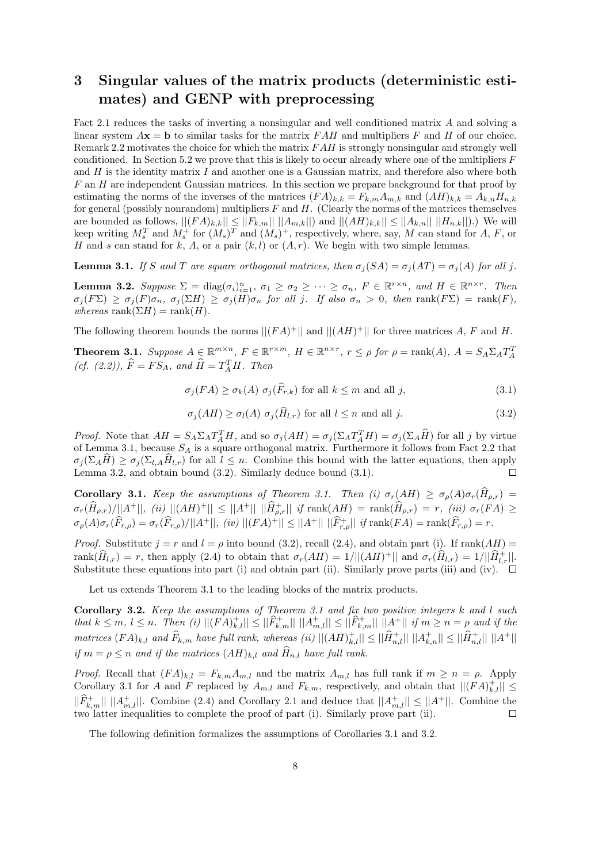## 3 Singular values of the matrix products (deterministic estimates) and GENP with preprocessing

Fact 2.1 reduces the tasks of inverting a nonsingular and well conditioned matrix A and solving a linear system  $A\mathbf{x} = \mathbf{b}$  to similar tasks for the matrix  $FAH$  and multipliers F and H of our choice. Remark 2.2 motivates the choice for which the matrix  $FAH$  is strongly nonsingular and strongly well conditioned. In Section 5.2 we prove that this is likely to occur already where one of the multipliers  $F$ and  $H$  is the identity matrix  $I$  and another one is a Gaussian matrix, and therefore also where both  $F$  an  $H$  are independent Gaussian matrices. In this section we prepare background for that proof by estimating the norms of the inverses of the matrices  $(FA)_{k,k} = F_{k,m}A_{m,k}$  and  $(AH)_{k,k} = A_{k,n}H_{n,k}$ for general (possibly nonrandom) multipliers  $F$  and  $H$ . (Clearly the norms of the matrices themselves are bounded as follows,  $||(FA)_{k,k}|| \leq ||F_{k,m}|| \ ||A_{m,k}||$  and  $||(AH)_{k,k}|| \leq ||A_{k,n}|| \ ||H_{n,k}||)$ .) We will keep writing  $M_s^T$  and  $M_s^+$  for  $(M_s)^T$  and  $(M_s)^+$ , respectively, where, say, M can stand for A, F, or H and s can stand for k, A, or a pair  $(k, l)$  or  $(A, r)$ . We begin with two simple lemmas.

**Lemma 3.1.** If S and T are square orthogonal matrices, then  $\sigma_i(SA) = \sigma_i(AT) = \sigma_i(A)$  for all j.

**Lemma 3.2.** Suppose  $\Sigma = \text{diag}(\sigma_i)_{i=1}^n$ ,  $\sigma_1 \ge \sigma_2 \ge \cdots \ge \sigma_n$ ,  $F \in \mathbb{R}^{r \times n}$ , and  $H \in \mathbb{R}^{n \times r}$ . Then  $\sigma_j(F\Sigma) \geq \sigma_j(F)\sigma_n$ ,  $\sigma_j(\Sigma H) \geq \sigma_j(H)\sigma_n$  for all j. If also  $\sigma_n > 0$ , then  $\text{rank}(F\Sigma) = \text{rank}(F)$ , whereas rank $(\Sigma H)$  = rank $(H)$ .

The following theorem bounds the norms  $||(FA)^+||$  and  $||(AH)^+||$  for three matrices A, F and H.

**Theorem 3.1.** Suppose  $A \in \mathbb{R}^{m \times n}$ ,  $F \in \mathbb{R}^{r \times m}$ ,  $H \in \mathbb{R}^{n \times r}$ ,  $r \leq \rho$  for  $\rho = \text{rank}(A)$ ,  $A = S_A \Sigma_A T_A^T$ (cf. (2.2)),  $\widehat{F} = FS_A$ , and  $\widehat{H} = T_A^T H$ . Then

$$
\sigma_j(FA) \ge \sigma_k(A) \sigma_j(\widehat{F}_{r,k}) \text{ for all } k \le m \text{ and all } j,
$$
\n(3.1)

$$
\sigma_j(AH) \ge \sigma_l(A) \sigma_j(\hat{H}_{l,r}) \text{ for all } l \le n \text{ and all } j. \tag{3.2}
$$

*Proof.* Note that  $AH = S_A \Sigma_A T_A^T H$ , and so  $\sigma_j(AH) = \sigma_j(\Sigma_A T_A^T H) = \sigma_j(\Sigma_A H)$  for all j by virtue of Lemma 3.1, because  $S_A$  is a square orthogonal matrix. Furthermore it follows from Fact 2.2 that  $\sigma_j(\Sigma_A \hat{H}) \geq \sigma_j(\Sigma_{l,A} \hat{H}_{l,r})$  for all  $l \leq n$ . Combine this bound with the latter equations, then apply Lemma 3.2, and obtain bound (3.2). Similarly deduce bound (3.1) Lemma 3.2, and obtain bound (3.2). Similarly deduce bound (3.1).

Corollary 3.1. Keep the assumptions of Theorem 3.1. Then (i)  $\sigma_r(AH) \geq \sigma_\rho(A)\sigma_r(\widehat{H}_{\rho,r}) =$  $\sigma_r(\hat{H}_{\rho,r})/||A^+||,$   $(ii)$   $||(AH)^+|| \leq ||A^+||$   $||\hat{H}^+_{\rho,r}||$  if  $\text{rank}(AH) = \text{rank}(\hat{H}_{\rho,r}) = r,$   $(iii)$   $\sigma_r(FA) \geq$  $\sigma_{\rho}(A)\sigma_{r}(\widehat{F}_{r,\rho}) = \sigma_{r}(\widehat{F}_{r,\rho})/||A^{+}||,$  (iv)  $||(FA)^{+}|| \leq ||A^{+}|| \, ||\widehat{F}_{r,\rho}^{+}||$  if  $\mathrm{rank}(FA) = \mathrm{rank}(\widehat{F}_{r,\rho}) = r$ .

*Proof.* Substitute  $j = r$  and  $l = \rho$  into bound (3.2), recall (2.4), and obtain part (i). If rank( $AH$ ) = rank $(\widehat{H}_{l,r}) = r$ , then apply (2.4) to obtain that  $\sigma_r(AH) = 1/||(AH)^+||$  and  $\sigma_r(\widehat{H}_{l,r}) = 1/||\widehat{H}_{l,r}^+||$ . Substitute these equations into part (i) and obtain part (ii). Similarly prove parts (iii) and (iv).  $\square$ 

Let us extends Theorem 3.1 to the leading blocks of the matrix products.

**Corollary 3.2.** Keep the assumptions of Theorem 3.1 and fix two positive integers  $k$  and  $l$  such that  $k \leq m, l \leq n$ . Then  $(i) ||(FA)_{k,l}^+|| \leq ||\widehat{F}_{k,m}^+|| ||A_{m,l}^+|| \leq ||\widehat{F}_{k,m}^+|| ||A^+||$  if  $m \geq n = \rho$  and if the  $matrices (FA)_{k,l}$  and  $\widehat{F}_{k,m}$  have full rank, whereas (ii)  $||(AH)_{k,l}^+|| \leq ||\widehat{H}_{n,l}^+|| \ ||A_{k,n}^+|| \leq ||\widehat{H}_{n,l}^+|| \ ||A^+||$ if  $m = \rho \le n$  and if the matrices  $(AH)_{k,l}$  and  $\widehat{H}_{n,l}$  have full rank.

*Proof.* Recall that  $(FA)_{k,l} = F_{k,m}A_{m,l}$  and the matrix  $A_{m,l}$  has full rank if  $m \geq n = \rho$ . Apply Corollary 3.1 for A and F replaced by  $A_{m,l}$  and  $F_{k,m}$ , respectively, and obtain that  $||(FA)_{k,l}^+|| \leq$  $||\widehat{F}_{k,m}^+|| ||A_{m,l}^+||$ . Combine (2.4) and Corollary 2.1 and deduce that  $||A_{m,l}^+|| \le ||A^+||$ . Combine the two latter inequalities to complete the proof of part (i). Similarly prove part (ii).

The following definition formalizes the assumptions of Corollaries 3.1 and 3.2.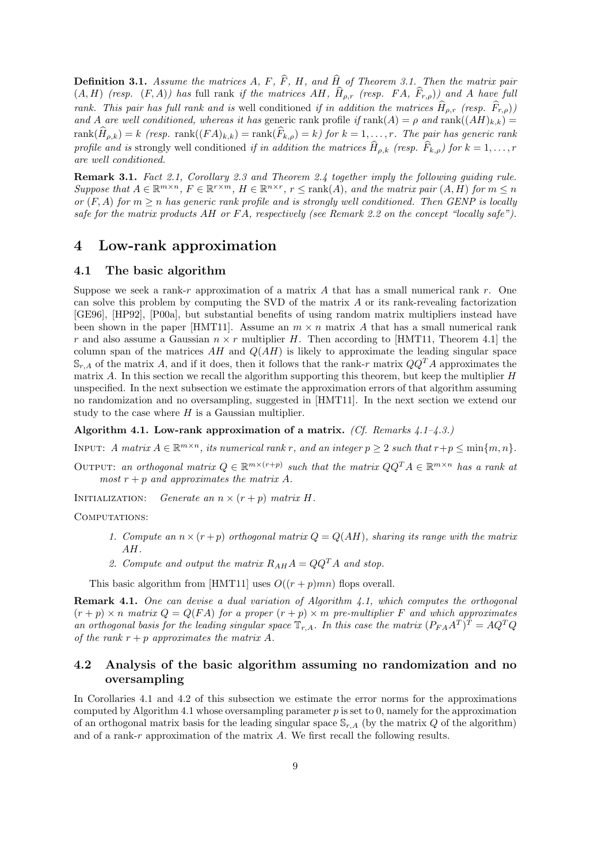**Definition 3.1.** Assume the matrices A, F,  $\widehat{F}$ , H, and  $\widehat{H}$  of Theorem 3.1. Then the matrix pair  $(A, H)$  (resp.  $(F, A)$ ) has full rank if the matrices AH,  $\hat{H}_{\rho,r}$  (resp. FA,  $\hat{F}_{r,\rho}$ )) and A have full rank. This pair has full rank and is well conditioned if in addition the matrices  $\hat{H}_{\rho,r}$  (resp.  $\hat{F}_{r,o}$ )) and A are well conditioned, whereas it has generic rank profile if  $rank(A) = \rho$  and  $rank((AH)_{k,k}) =$  $rank(\widehat{H}_{\rho,k}) = k$  (resp.  $rank((FA)_{k,k}) = rank(\widehat{F}_{k,\rho}) = k$ ) for  $k = 1, ..., r$ . The pair has generic rank profile and is strongly well conditioned if in addition the matrices  $\hat{H}_{\rho,k}$  (resp.  $\hat{F}_{k,\rho}$ ) for  $k = 1, \ldots, r$ are well conditioned.

Remark 3.1. Fact 2.1, Corollary 2.3 and Theorem 2.4 together imply the following quiding rule. Suppose that  $A \in \mathbb{R}^{m \times n}$ ,  $F \in \mathbb{R}^{r \times m}$ ,  $H \in \mathbb{R}^{n \times r}$ ,  $r \leq \text{rank}(A)$ , and the matrix pair  $(A, H)$  for  $m \leq n$ or  $(F, A)$  for  $m \geq n$  has generic rank profile and is strongly well conditioned. Then GENP is locally safe for the matrix products AH or FA, respectively (see Remark 2.2 on the concept "locally safe").

### 4 Low-rank approximation

#### 4.1 The basic algorithm

Suppose we seek a rank-r approximation of a matrix A that has a small numerical rank r. One can solve this problem by computing the SVD of the matrix A or its rank-revealing factorization [GE96], [HP92], [P00a], but substantial benefits of using random matrix multipliers instead have been shown in the paper [HMT11]. Assume an  $m \times n$  matrix A that has a small numerical rank r and also assume a Gaussian  $n \times r$  multiplier H. Then according to [HMT11, Theorem 4.1] the column span of the matrices  $AH$  and  $Q(AH)$  is likely to approximate the leading singular space  $\mathbb{S}_{r,A}$  of the matrix A, and if it does, then it follows that the rank-r matrix  $QQ^T A$  approximates the matrix A. In this section we recall the algorithm supporting this theorem, but keep the multiplier  $H$ unspecified. In the next subsection we estimate the approximation errors of that algorithm assuming no randomization and no oversampling, suggested in [HMT11]. In the next section we extend our study to the case where  $H$  is a Gaussian multiplier.

Algorithm 4.1. Low-rank approximation of a matrix. (Cf. Remarks  $4.1-4.3.$ )

INPUT: A matrix  $A \in \mathbb{R}^{m \times n}$ , its numerical rank r, and an integer  $p \geq 2$  such that  $r + p \leq \min\{m, n\}$ .

OUTPUT: an orthogonal matrix  $Q \in \mathbb{R}^{m \times (r+p)}$  such that the matrix  $QQ^T A \in \mathbb{R}^{m \times n}$  has a rank at most  $r + p$  and approximates the matrix A.

INITIALIZATION: Generate an  $n \times (r + p)$  matrix H.

COMPUTATIONS:

- 1. Compute an  $n \times (r + p)$  orthogonal matrix  $Q = Q(AH)$ , sharing its range with the matrix AH.
- 2. Compute and output the matrix  $R_{AH}A = QQ^{T}A$  and stop.

This basic algorithm from [HMT11] uses  $O((r+p)mn)$  flops overall.

**Remark 4.1.** One can devise a dual variation of Algorithm 4.1, which computes the orthogonal  $(r + p) \times n$  matrix  $Q = Q(FA)$  for a proper  $(r + p) \times m$  pre-multiplier F and which approximates an orthogonal basis for the leading singular space  $\mathbb{T}_{r,A}$ . In this case the matrix  $(P_{FA}A^T)^T = AQ^TQ$ of the rank  $r + p$  approximates the matrix A.

### 4.2 Analysis of the basic algorithm assuming no randomization and no oversampling

In Corollaries 4.1 and 4.2 of this subsection we estimate the error norms for the approximations computed by Algorithm 4.1 whose oversampling parameter  $p$  is set to 0, namely for the approximation of an orthogonal matrix basis for the leading singular space  $\mathbb{S}_{r,A}$  (by the matrix Q of the algorithm) and of a rank-r approximation of the matrix A. We first recall the following results.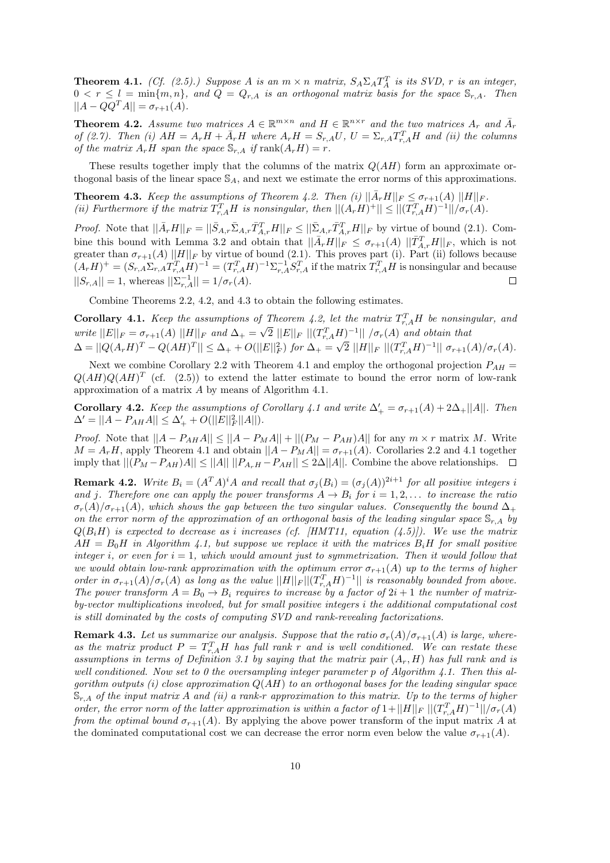**Theorem 4.1.** (Cf. (2.5).) Suppose A is an  $m \times n$  matrix,  $S_A \Sigma_A T_A^T$  is its SVD, r is an integer,  $0 < r \leq l = \min\{m, n\}$ , and  $Q = Q_{r,A}$  is an orthogonal matrix basis for the space  $\mathbb{S}_{r,A}$ . Then  $||A - QQ^{T}A|| = \sigma_{r+1}(A).$ 

**Theorem 4.2.** Assume two matrices  $A \in \mathbb{R}^{m \times n}$  and  $H \in \mathbb{R}^{n \times r}$  and the two matrices  $A_r$  and  $\overline{A}_r$ of (2.7). Then (i)  $AH = A_rH + \bar{A}_rH$  where  $A_rH = S_{r,A}U$ ,  $U = \Sigma_{r,A}T_{r,A}^TH$  and (ii) the columns of the matrix  $A_rH$  span the space  $\mathbb{S}_{r,A}$  if  $\text{rank}(A_rH) = r$ .

These results together imply that the columns of the matrix  $Q(AH)$  form an approximate orthogonal basis of the linear space  $S_A$ , and next we estimate the error norms of this approximations.

**Theorem 4.3.** Keep the assumptions of Theorem 4.2. Then (i)  $\|\bar{A}_r H\|_F \leq \sigma_{r+1}(A) \|H\|_F$ . (ii) Furthermore if the matrix  $T_{r,A}^TH$  is nonsingular, then  $||(A_rH)^+|| \leq ||(T_{r,A}^TH)^{-1}||/\sigma_r(A)$ .

*Proof.* Note that  $\|\bar{A}_r H\|_F = \|\bar{S}_{A,r}\bar{S}_{A,r}\bar{T}_{A,r}^TH\|_F \leq \|\bar{\Sigma}_{A,r}\bar{T}_{A,r}^TH\|_F$  by virtue of bound (2.1). Combine this bound with Lemma 3.2 and obtain that  $||\bar{A}_rH||_F \leq \sigma_{r+1}(A) ||\bar{T}_{A,r}^TH||_F$ , which is not greater than  $\sigma_{r+1}(A) ||H||_F$  by virtue of bound (2.1). This proves part (i). Part (ii) follows because  $(A_rH)^+ = (S_{r,A}\Sigma_{r,A}T_{r,A}^TH)^{-1} = (T_{r,A}^TH)^{-1}\Sigma_{r,A}^{-1}S_{r,A}^T$  if the matrix  $T_{r,A}^TH$  is nonsingular and because  $||S_{r,A}|| = 1$ , whereas  $||\sum_{r,A}^{-1}|| = 1/\sigma_r(A)$ .  $\Box$ 

Combine Theorems 2.2, 4.2, and 4.3 to obtain the following estimates.

**Corollary 4.1.** Keep the assumptions of Theorem 4.2, let the matrix  $T_{r,A}^T H$  be nonsingular, and write  $||E||_F = \sigma_{r+1}(A) ||H||_F$  and  $\Delta_+ = \sqrt{2} ||E||_F ||(T_{r,A}^TH)^{-1}|| / \sigma_r(A)$  and obtain that  $\Delta = ||Q(A_r H)^T - Q(AH)^T|| \leq \Delta_+ + O(||E||_F^2)$  for  $\Delta_+ = \sqrt{2} ||H||_F ||(T_{r,A}^T H)^{-1}|| \sigma_{r+1}(A)/\sigma_r(A)$ .

Next we combine Corollary 2.2 with Theorem 4.1 and employ the orthogonal projection  $P_{AH}$  =  $Q(AH)Q(AH)^T$  (cf. (2.5)) to extend the latter estimate to bound the error norm of low-rank approximation of a matrix A by means of Algorithm 4.1.

**Corollary 4.2.** Keep the assumptions of Corollary 4.1 and write  $\Delta'_{+} = \sigma_{r+1}(A) + 2\Delta_{+}||A||$ . Then  $\Delta' = ||A - P_{AH}A|| \leq \Delta'_{+} + O(||E||_F^2 ||A||).$ 

*Proof.* Note that  $||A - P_{AH}A|| \le ||A - P_{M}A|| + ||(P_M - P_{AH})A||$  for any  $m \times r$  matrix M. Write  $M = A_r H$ , apply Theorem 4.1 and obtain  $||A - P_M A|| = \sigma_{r+1}(A)$ . Corollaries 2.2 and 4.1 together imply that  $||(P_M - P_{AH})A|| \le ||A|| ||P_{A_rH} - P_{AH}|| \le 2\Delta ||A||$ . Combine the above relationships.

**Remark 4.2.** Write  $B_i = (A^T A)^i A$  and recall that  $\sigma_j(B_i) = (\sigma_j(A))^{2i+1}$  for all positive integers i and j. Therefore one can apply the power transforms  $A \to B_i$  for  $i = 1, 2, \ldots$  to increase the ratio  $\sigma_r(A)/\sigma_{r+1}(A)$ , which shows the gap between the two singular values. Consequently the bound  $\Delta_+$ on the error norm of the approximation of an orthogonal basis of the leading singular space  $\mathbb{S}_{r,A}$  by  $Q(B_iH)$  is expected to decrease as i increases (cf. [HMT11, equation (4.5)]). We use the matrix  $AH = B_0H$  in Algorithm 4.1, but suppose we replace it with the matrices  $B_iH$  for small positive integer i, or even for  $i = 1$ , which would amount just to symmetrization. Then it would follow that we would obtain low-rank approximation with the optimum error  $\sigma_{r+1}(A)$  up to the terms of higher order in  $\sigma_{r+1}(A)/\sigma_r(A)$  as long as the value  $||H||_F ||(T_{r,A}^TH)^{-1}||$  is reasonably bounded from above. The power transform  $A = B_0 \rightarrow B_i$  requires to increase by a factor of  $2i + 1$  the number of matrixby-vector multiplications involved, but for small positive integers i the additional computational cost is still dominated by the costs of computing SVD and rank-revealing factorizations.

**Remark 4.3.** Let us summarize our analysis. Suppose that the ratio  $\sigma_r(A)/\sigma_{r+1}(A)$  is large, whereas the matrix product  $P = T_{r,A}^T H$  has full rank r and is well conditioned. We can restate these assumptions in terms of Definition 3.1 by saying that the matrix pair  $(A_r, H)$  has full rank and is well conditioned. Now set to 0 the oversampling integer parameter p of Algorithm 4.1. Then this algorithm outputs (i) close approximation  $Q(AH)$  to an orthogonal bases for the leading singular space  $\mathbb{S}_{r,A}$  of the input matrix A and (ii) a rank-r approximation to this matrix. Up to the terms of higher order, the error norm of the latter approximation is within a factor of  $1+||H||_F|| (T_{r,A}^TH)^{-1}||/\sigma_r(A)$ from the optimal bound  $\sigma_{r+1}(A)$ . By applying the above power transform of the input matrix A at the dominated computational cost we can decrease the error norm even below the value  $\sigma_{r+1}(A)$ .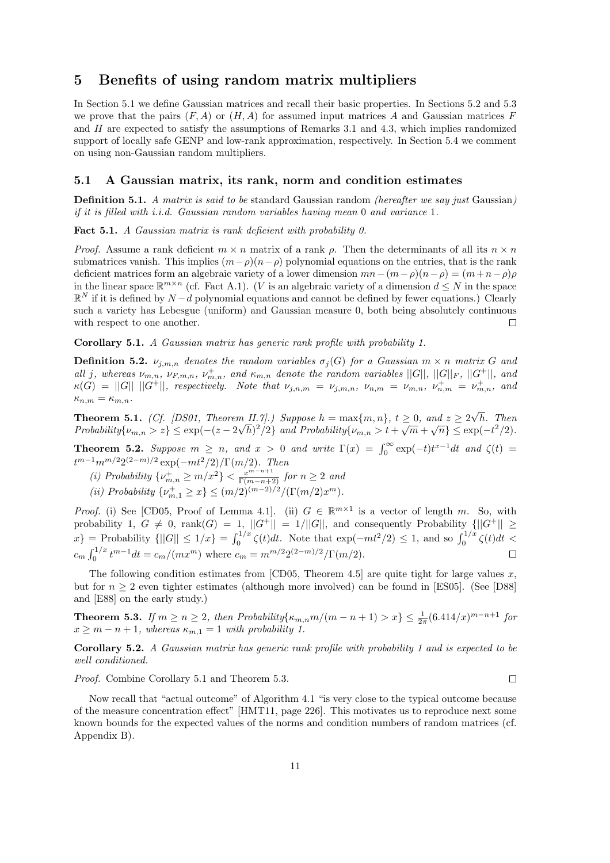### 5 Benefits of using random matrix multipliers

In Section 5.1 we define Gaussian matrices and recall their basic properties. In Sections 5.2 and 5.3 we prove that the pairs  $(F, A)$  or  $(H, A)$  for assumed input matrices A and Gaussian matrices F and  $H$  are expected to satisfy the assumptions of Remarks 3.1 and 4.3, which implies randomized support of locally safe GENP and low-rank approximation, respectively. In Section 5.4 we comment on using non-Gaussian random multipliers.

#### 5.1 A Gaussian matrix, its rank, norm and condition estimates

**Definition 5.1.** A matrix is said to be standard Gaussian random (hereafter we say just Gaussian) if it is filled with i.i.d. Gaussian random variables having mean 0 and variance 1.

Fact 5.1. A Gaussian matrix is rank deficient with probability 0.

*Proof.* Assume a rank deficient  $m \times n$  matrix of a rank  $\rho$ . Then the determinants of all its  $n \times n$ submatrices vanish. This implies  $(m-\rho)(n-\rho)$  polynomial equations on the entries, that is the rank deficient matrices form an algebraic variety of a lower dimension  $mn-(m-\rho)(n-\rho)=(m+n-\rho)\rho$ in the linear space  $\mathbb{R}^{m \times n}$  (cf. Fact A.1). (V is an algebraic variety of a dimension  $d \leq N$  in the space  $\mathbb{R}^N$  if it is defined by  $N-d$  polynomial equations and cannot be defined by fewer equations.) Clearly such a variety has Lebesgue (uniform) and Gaussian measure 0, both being absolutely continuous with respect to one another.  $\Box$ 

Corollary 5.1. A Gaussian matrix has generic rank profile with probability 1.

**Definition 5.2.**  $\nu_{j,m,n}$  denotes the random variables  $\sigma_j(G)$  for a Gaussian  $m \times n$  matrix G and all j, whereas  $\nu_{m,n}$ ,  $\nu_{F,m,n}$ ,  $\nu_{m,n}^+$ , and  $\kappa_{m,n}$  denote the random variables  $||G||$ ,  $||G||_F$ ,  $||G^+||$ , and  $\kappa(G) = ||G|| \, ||G^+||$ , respectively. Note that  $\nu_{j,n,m} = \nu_{j,m,n}$ ,  $\nu_{n,m} = \nu_{m,n}$ ,  $\nu_{n,m}^+ = \nu_{m,n}^+$ , and  $\kappa_{n,m} = \kappa_{m,n}.$ 

**Theorem 5.1.** (Cf. [DS01, Theorem II.7].) Suppose  $h = \max\{m, n\}$ ,  $t \geq 0$ , and  $z \geq 2\sqrt{h}$ . Then Probability $\{\nu_{m,n} > z\} \le \exp(-(z - 2\sqrt{h})^2/2)$  and Probability $\{\nu_{m,n} > t + \sqrt{m} + \sqrt{n}\} \le \exp(-t^2/2)$ .

**Theorem 5.2.** Suppose  $m \geq n$ , and  $x > 0$  and write  $\Gamma(x) = \int_0^\infty \exp(-t)t^{x-1}dt$  and  $\zeta(t) =$  $t^{m-1}m^{m/2}2^{(2-m)/2}\exp(-mt^2/2)/\Gamma(m/2)$ . Then

- (i) Probability  $\{\nu_{m,n}^+\geq m/x^2\} < \frac{x^{m-n+1}}{\Gamma(m-n+2)}$  for  $n \geq 2$  and
- (ii) Probability  $\{\nu_{m,1}^+\geq x\} \leq (m/2)^{(m-2)/2}/(\Gamma(m/2)x^m)$ .

*Proof.* (i) See [CD05, Proof of Lemma 4.1]. (ii)  $G \in \mathbb{R}^{m \times 1}$  is a vector of length m. So, with probability 1,  $G \neq 0$ ,  $rank(G) = 1$ ,  $||G^+|| = 1/||G||$ , and consequently Probability  $\{||G^+|| \geq 0\}$  $\{x\} = \text{Probability } \{|G| \leq 1/x\} = \int_0^{1/x} \zeta(t) dt.$  Note that  $\exp(-mt^2/2) \leq 1$ , and so  $\int_0^{1/x} \zeta(t) dt <$  $c_m \int_0^{1/x} t^{m-1} dt = c_m/(mx^m)$  where  $c_m = m^{m/2} 2^{(2-m)/2}/\Gamma(m/2)$ .

The following condition estimates from [CD05, Theorem 4.5] are quite tight for large values x, but for  $n \geq 2$  even tighter estimates (although more involved) can be found in [ES05]. (See [D88] and [E88] on the early study.)

**Theorem 5.3.** If  $m \ge n \ge 2$ , then Probability $\{\kappa_{m,n}m/(m-n+1) > x\} \le \frac{1}{2\pi}(6.414/x)^{m-n+1}$  for  $x \geq m - n + 1$ , whereas  $\kappa_{m,1} = 1$  with probability 1.

Corollary 5.2. A Gaussian matrix has generic rank profile with probability 1 and is expected to be well conditioned.

Proof. Combine Corollary 5.1 and Theorem 5.3.

Now recall that "actual outcome" of Algorithm 4.1 "is very close to the typical outcome because of the measure concentration effect" [HMT11, page 226]. This motivates us to reproduce next some known bounds for the expected values of the norms and condition numbers of random matrices (cf. Appendix B).

 $\Box$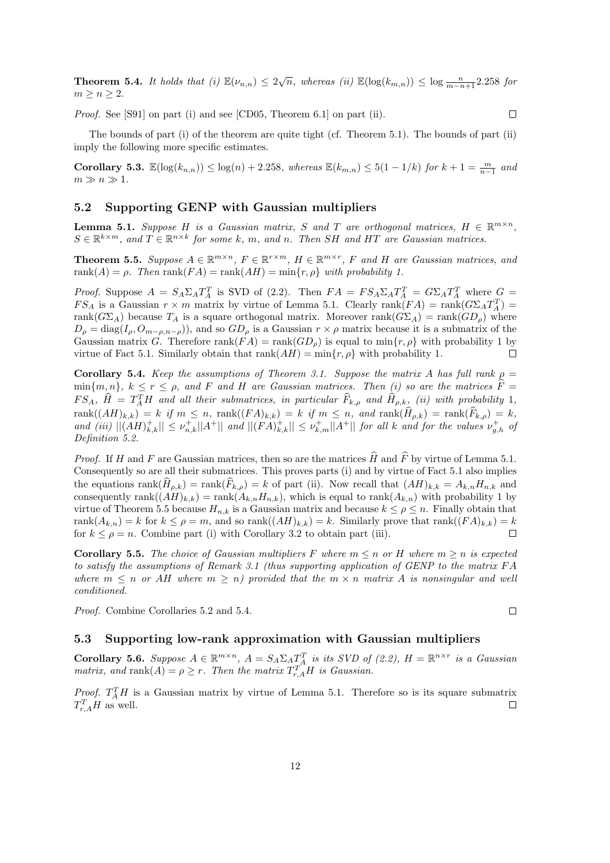**Theorem 5.4.** It holds that (i)  $\mathbb{E}(\nu_{n,n}) \leq 2\sqrt{n}$ , whereas (ii)  $\mathbb{E}(\log(k_{m,n})) \leq \log \frac{n}{m-n+1}$  2.258 for  $m > n > 2$ .

Proof. See [S91] on part (i) and see [CD05, Theorem 6.1] on part (ii).

The bounds of part (i) of the theorem are quite tight (cf. Theorem 5.1). The bounds of part (ii) imply the following more specific estimates.

**Corollary 5.3.**  $\mathbb{E}(\log(k_{n,n})) \leq \log(n) + 2.258$ , whereas  $\mathbb{E}(k_{m,n}) \leq 5(1 - 1/k)$  for  $k + 1 = \frac{m}{n-1}$  and  $m \gg n \gg 1$ .

### 5.2 Supporting GENP with Gaussian multipliers

**Lemma 5.1.** Suppose H is a Gaussian matrix, S and T are orthogonal matrices,  $H \in \mathbb{R}^{m \times n}$ ,  $S \in \mathbb{R}^{k \times m}$ , and  $T \in \mathbb{R}^{n \times k}$  for some k, m, and n. Then SH and HT are Gaussian matrices.

**Theorem 5.5.** Suppose  $A \in \mathbb{R}^{m \times n}$ ,  $F \in \mathbb{R}^{r \times m}$ ,  $H \in \mathbb{R}^{m \times r}$ ,  $F$  and  $H$  are Gaussian matrices, and rank $(A) = \rho$ . Then rank $(FA) = \text{rank}(AH) = \min\{r, \rho\}$  with probability 1.

*Proof.* Suppose  $A = S_A \Sigma_A T_A^T$  is SVD of (2.2). Then  $FA = FS_A \Sigma_A T_A^T = G \Sigma_A T_A^T$  where  $G =$  $FS_A$  is a Gaussian  $r \times m$  matrix by virtue of Lemma 5.1. Clearly  $rank(FA) = rank(G \Sigma_A T_A^T)$ rank( $G\Sigma_A$ ) because  $T_A$  is a square orthogonal matrix. Moreover rank( $G\Sigma_A$ ) = rank( $GD_\rho$ ) where  $D_{\rho} = \text{diag}(I_{\rho}, O_{m-\rho,n-\rho})$ , and so  $GD_{\rho}$  is a Gaussian  $r \times \rho$  matrix because it is a submatrix of the Gaussian matrix G. Therefore rank $(FA) = \text{rank}(GD_\rho)$  is equal to min $\{r, \rho\}$  with probability 1 by virtue of Fact 5.1. Similarly obtain that rank $(AH) = \min\{r, \rho\}$  with probability 1. virtue of Fact 5.1. Similarly obtain that  $rank(AH) = min\{r, \rho\}$  with probability 1.

Corollary 5.4. Keep the assumptions of Theorem 3.1. Suppose the matrix A has full rank  $\rho =$  $\min\{m, n\}, k \leq r \leq \rho$ , and F and H are Gaussian matrices. Then (i) so are the matrices  $\hat{F} =$  $FS_A$ ,  $\hat{H} = T_A^TH$  and all their submatrices, in particular  $\widehat{F}_{k,\rho}$  and  $\widehat{H}_{\rho,k}$ , (ii) with probability 1,  $rank((AH)_{k,k}) = k$  if  $m \leq n$ ,  $rank((FA)_{k,k}) = k$  if  $m \leq n$ , and  $rank(H_{\rho,k}) = rank(F_{k,\rho}) = k$ , and (iii)  $||(AH)_{k,k}^+|| \leq \nu_{n,k}^+||A^+||$  and  $||(FA)_{k,k}^+|| \leq \nu_{k,m}^+||A^+||$  for all k and for the values  $\nu_{g,h}^+$  of Definition 5.2.

*Proof.* If H and F are Gaussian matrices, then so are the matrices  $\widehat{H}$  and  $\widehat{F}$  by virtue of Lemma 5.1. Consequently so are all their submatrices. This proves parts (i) and by virtue of Fact 5.1 also implies the equations  $\text{rank}(H_{\rho,k}) = \text{rank}(F_{k,\rho}) = k$  of part (ii). Now recall that  $(AH)_{k,k} = A_{k,n}H_{n,k}$  and consequently rank $((AH)_{k,k}) = \text{rank}(A_{k,n}H_{n,k})$ , which is equal to rank $(A_{k,n})$  with probability 1 by virtue of Theorem 5.5 because  $H_{n,k}$  is a Gaussian matrix and because  $k \leq \rho \leq n$ . Finally obtain that rank $(A_{k,n}) = k$  for  $k \leq \rho = m$ , and so rank $((AH)_{k,k}) = k$ . Similarly prove that rank $((FA)_{k,k}) = k$  for  $k \leq \rho = n$ . Combine part (i) with Corollary 3.2 to obtain part (iii). for  $k \leq \rho = n$ . Combine part (i) with Corollary 3.2 to obtain part (iii).

**Corollary 5.5.** The choice of Gaussian multipliers F where  $m \leq n$  or H where  $m \geq n$  is expected to satisfy the assumptions of Remark 3.1 (thus supporting application of GENP to the matrix F A where  $m \leq n$  or AH where  $m \geq n$ ) provided that the  $m \times n$  matrix A is nonsingular and well conditioned.

Proof. Combine Corollaries 5.2 and 5.4.

### 5.3 Supporting low-rank approximation with Gaussian multipliers

Corollary 5.6. Suppose  $A \in \mathbb{R}^{m \times n}$ ,  $A = S_A \Sigma_A T_A^T$  is its SVD of (2.2),  $H = \mathbb{R}^{n \times r}$  is a Gaussian matrix, and rank $(A) = \rho \geq r$ . Then the matrix  $T_{r,A}^T H$  is Gaussian.

*Proof.*  $T_A^T H$  is a Gaussian matrix by virtue of Lemma 5.1. Therefore so is its square submatrix  $T_{r,A}^TH$  as well.

 $\Box$ 

 $\Box$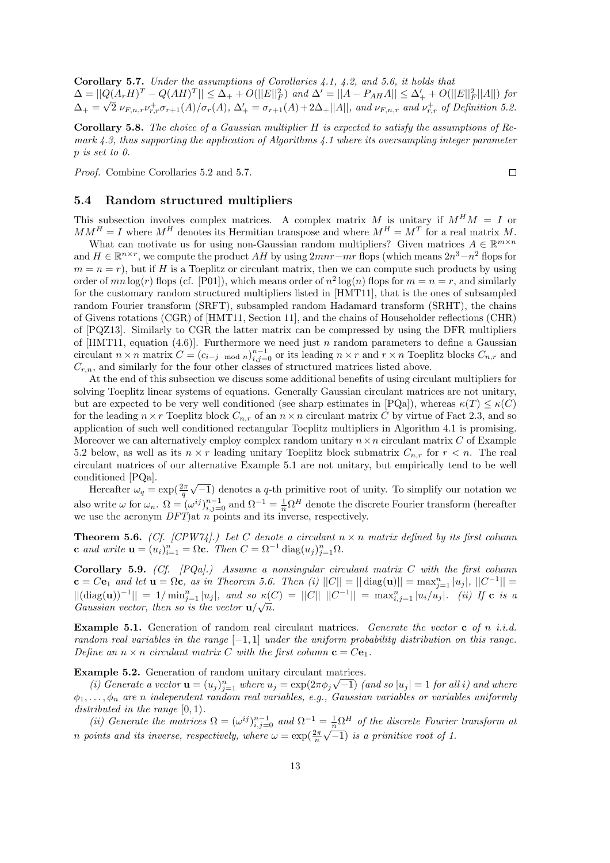Corollary 5.7. Under the assumptions of Corollaries 4.1, 4.2, and 5.6, it holds that  $\Delta = ||Q(A_r H)^T - Q(AH)^T|| \leq \Delta_+ + O(||E||_F^2)$  and  $\Delta' = ||A - P_{AH}A|| \leq \Delta_+' + O(||E||_F^2||A||)$  for  $\Delta_+ = \sqrt{2} \nu_{F,n,r} \nu_{r,r}^+ \sigma_{r+1}(A) / \sigma_r(A), \ \Delta_+' = \sigma_{r+1}(A) + 2\Delta_+ ||A||$ , and  $\nu_{F,n,r}$  and  $\nu_{r,r}^+$  of Definition 5.2.

Corollary 5.8. The choice of a Gaussian multiplier H is expected to satisfy the assumptions of Remark  $4.3$ , thus supporting the application of Algorithms  $4.1$  where its oversampling integer parameter p is set to 0.

Proof. Combine Corollaries 5.2 and 5.7.

#### 5.4 Random structured multipliers

This subsection involves complex matrices. A complex matrix M is unitary if  $M^HM = I$  or  $MM^H = I$  where  $M^H$  denotes its Hermitian transpose and where  $M^H = M^T$  for a real matrix M.

What can motivate us for using non-Gaussian random multipliers? Given matrices  $A \in \mathbb{R}^{m \times n}$ and  $H \in \mathbb{R}^{n \times r}$ , we compute the product  $AH$  by using  $2mnr-mr$  flops (which means  $2n^3-n^2$  flops for  $m = n = r$ , but if H is a Toeplitz or circulant matrix, then we can compute such products by using order of  $mn \log(r)$  flops (cf. [P01]), which means order of  $n^2 \log(n)$  flops for  $m = n = r$ , and similarly for the customary random structured multipliers listed in [HMT11], that is the ones of subsampled random Fourier transform (SRFT), subsampled random Hadamard transform (SRHT), the chains of Givens rotations (CGR) of [HMT11, Section 11], and the chains of Householder reflections (CHR) of [PQZ13]. Similarly to CGR the latter matrix can be compressed by using the DFR multipliers of [HMT11, equation (4.6)]. Furthermore we need just n random parameters to define a Gaussian circulant  $n \times n$  matrix  $C = (c_{i-j \mod n})_{i,j=0}^{n-1}$  or its leading  $n \times r$  and  $r \times n$  Toeplitz blocks  $C_{n,r}$  and  $C_{r,n}$ , and similarly for the four other classes of structured matrices listed above.

At the end of this subsection we discuss some additional benefits of using circulant multipliers for solving Toeplitz linear systems of equations. Generally Gaussian circulant matrices are not unitary, but are expected to be very well conditioned (see sharp estimates in [PQa]), whereas  $\kappa(T) \leq \kappa(C)$ for the leading  $n \times r$  Toeplitz block  $C_{n,r}$  of an  $n \times n$  circulant matrix C by virtue of Fact 2.3, and so application of such well conditioned rectangular Toeplitz multipliers in Algorithm 4.1 is promising. Moreover we can alternatively employ complex random unitary  $n \times n$  circulant matrix C of Example 5.2 below, as well as its  $n \times r$  leading unitary Toeplitz block submatrix  $C_{n,r}$  for  $r \leq n$ . The real circulant matrices of our alternative Example 5.1 are not unitary, but empirically tend to be well conditioned [PQa].

Hereafter  $\omega_q = \exp(\frac{2\pi}{q}\sqrt{-1})$  denotes a q-th primitive root of unity. To simplify our notation we also write  $\omega$  for  $\omega_n$ .  $\Omega = (\omega^{ij})_{i,j=0}^{n-1}$  and  $\Omega^{-1} = \frac{1}{n} \Omega^H$  denote the discrete Fourier transform (hereafter we use the acronym  $DFT$ ) at n points and its inverse, respectively.

**Theorem 5.6.** (Cf. [CPW74].) Let C denote a circulant  $n \times n$  matrix defined by its first column **c** and write  $\mathbf{u} = (u_i)_{i=1}^n = \Omega$ **c**. Then  $C = \Omega^{-1} \text{diag}(u_j)_{j=1}^n \Omega$ .

Corollary 5.9. (Cf.  $[PQa]$ .) Assume a nonsingular circulant matrix  $C$  with the first column  $c = Ce_1$  and let  $u = \Omega c$ , as in Theorem 5.6. Then (i)  $||C|| = || \text{diag}(u) || = \max_{j=1}^{n} |u_j|, ||C^{-1}|| =$  $||(\text{diag}(\mathbf{u}))^{-1}|| = 1/\min_{j=1}^n |u_j|$ , and so  $\kappa(C) = ||C|| ||C^{-1}|| = \max_{i,j=1}^n |u_i/u_j|$ . (ii) If c is a Gaussian vector, then so is the vector  $u/\sqrt{n}$ .

**Example 5.1.** Generation of random real circulant matrices. Generate the vector c of n i.i.d. random real variables in the range  $[-1, 1]$  under the uniform probability distribution on this range. Define an  $n \times n$  circulant matrix C with the first column  $\mathbf{c} = C\mathbf{e}_1$ .

Example 5.2. Generation of random unitary circulant matrices.

(i) Generate a vector  $\mathbf{u} = (u_j)_{j=1}^n$  where  $u_j = \exp(2\pi\phi_j\sqrt{-1})$  (and so  $|u_j| = 1$  for all i) and where  $\phi_1, \ldots, \phi_n$  are n independent random real variables, e.g., Gaussian variables or variables uniformly distributed in the range  $[0, 1)$ .

(ii) Generate the matrices  $\Omega = (\omega^{ij})_{i,j=0}^{n-1}$  and  $\Omega^{-1} = \frac{1}{n} \Omega^H$  of the discrete Fourier transform at *n* points and its inverse, respectively, where  $\omega = \exp(\frac{2\pi}{n}\sqrt{-1})$  is a primitive root of 1.

 $\Box$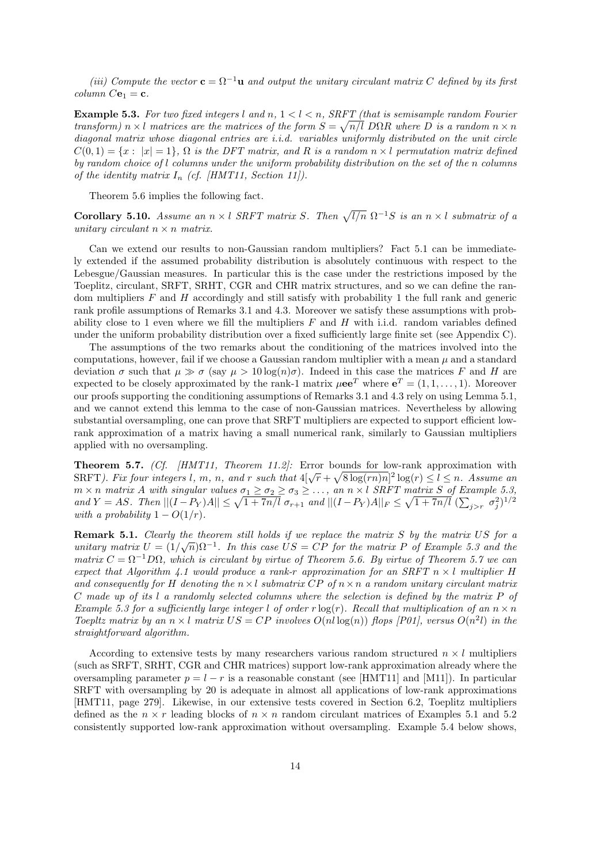(iii) Compute the vector  $\mathbf{c} = \Omega^{-1} \mathbf{u}$  and output the unitary circulant matrix C defined by its first  $column Ce_1 = c.$ 

**Example 5.3.** For two fixed integers l and n,  $1 < l < n$ , SRFT (that is semisample random Fourier transform)  $n \times l$  matrices are the matrices of the form  $S = \sqrt{n/l}$  DQR where D is a random  $n \times n$ diagonal matrix whose diagonal entries are *i.i.d.* variables uniformly distributed on the unit circle  $C(0, 1) = \{x : |x| = 1\}, \Omega$  is the DFT matrix, and R is a random  $n \times l$  permutation matrix defined by random choice of l columns under the uniform probability distribution on the set of the n columns of the identity matrix  $I_n$  (cf. [HMT11, Section 11]).

Theorem 5.6 implies the following fact.

Corollary 5.10. Assume an  $n \times l$  SRFT matrix S. Then  $\sqrt{l/n}$   $\Omega^{-1}S$  is an  $n \times l$  submatrix of a unitary circulant  $n \times n$  matrix.

Can we extend our results to non-Gaussian random multipliers? Fact 5.1 can be immediately extended if the assumed probability distribution is absolutely continuous with respect to the Lebesgue/Gaussian measures. In particular this is the case under the restrictions imposed by the Toeplitz, circulant, SRFT, SRHT, CGR and CHR matrix structures, and so we can define the random multipliers  $F$  and  $H$  accordingly and still satisfy with probability 1 the full rank and generic rank profile assumptions of Remarks 3.1 and 4.3. Moreover we satisfy these assumptions with probability close to 1 even where we fill the multipliers  $F$  and  $H$  with i.i.d. random variables defined under the uniform probability distribution over a fixed sufficiently large finite set (see Appendix C).

The assumptions of the two remarks about the conditioning of the matrices involved into the computations, however, fail if we choose a Gaussian random multiplier with a mean  $\mu$  and a standard deviation  $\sigma$  such that  $\mu \gg \sigma$  (say  $\mu > 10 \log(n)\sigma$ ). Indeed in this case the matrices F and H are expected to be closely approximated by the rank-1 matrix  $\mu$ ee<sup>T</sup> where  $e^T = (1, 1, \dots, 1)$ . Moreover our proofs supporting the conditioning assumptions of Remarks 3.1 and 4.3 rely on using Lemma 5.1, and we cannot extend this lemma to the case of non-Gaussian matrices. Nevertheless by allowing substantial oversampling, one can prove that SRFT multipliers are expected to support efficient lowrank approximation of a matrix having a small numerical rank, similarly to Gaussian multipliers applied with no oversampling.

Theorem 5.7. (Cf. *HMT11*, Theorem 11.2): Error bounds for low-rank approximation with SRFT). Fix four integers l, m, n, and r such that  $4[\sqrt{r} + \sqrt{8 \log(rn)n}]^2 \log(r) \leq l \leq n$ . Assume an  $m \times n$  matrix A with singular values  $\sigma_1 \ge \sigma_2 \ge \sigma_3 \ge \ldots$ , an  $n \times l$  SRFT matrix S of Example 5.3, and  $Y = AS$ . Then  $||(I - P_Y)A|| \le \sqrt{1 + 7n/l} \sigma_{r+1}$  and  $||(I - P_Y)A||_F \le \sqrt{1 + 7n/l} (\sum_{j > r} \sigma_j^2)^{1/2}$ with a probability  $1 - O(1/r)$ .

**Remark 5.1.** Clearly the theorem still holds if we replace the matrix  $S$  by the matrix  $US$  for a unitary matrix  $U = (1/\sqrt{n})\Omega^{-1}$ . In this case  $US = CP$  for the matrix P of Example 5.3 and the matrix  $C = \Omega^{-1}D\Omega$ , which is circulant by virtue of Theorem 5.6. By virtue of Theorem 5.7 we can expect that Algorithm 4.1 would produce a rank-r approximation for an SRFT  $n \times l$  multiplier H and consequently for H denoting the  $n \times l$  submatrix  $\overline{CP}$  of  $n \times n$  a random unitary circulant matrix C made up of its l a randomly selected columns where the selection is defined by the matrix P of Example 5.3 for a sufficiently large integer l of order r  $log(r)$ . Recall that multiplication of an  $n \times n$ Toepltz matrix by an  $n \times l$  matrix  $US = CP$  involves  $O(nl \log(n))$  flops [P01], versus  $O(n^2l)$  in the straightforward algorithm.

According to extensive tests by many researchers various random structured  $n \times l$  multipliers (such as SRFT, SRHT, CGR and CHR matrices) support low-rank approximation already where the oversampling parameter  $p = l - r$  is a reasonable constant (see [HMT11] and [M11]). In particular SRFT with oversampling by 20 is adequate in almost all applications of low-rank approximations [HMT11, page 279]. Likewise, in our extensive tests covered in Section 6.2, Toeplitz multipliers defined as the  $n \times r$  leading blocks of  $n \times n$  random circulant matrices of Examples 5.1 and 5.2 consistently supported low-rank approximation without oversampling. Example 5.4 below shows,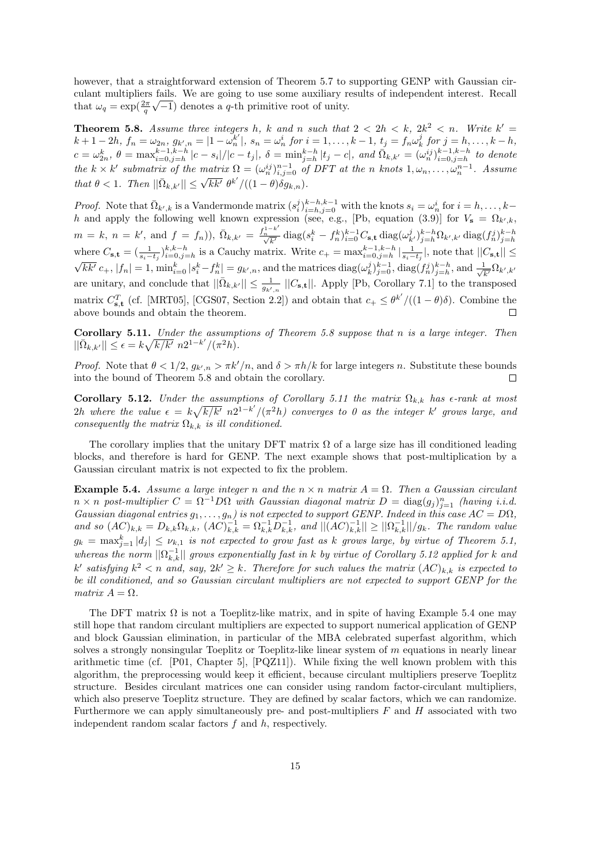however, that a straightforward extension of Theorem 5.7 to supporting GENP with Gaussian circulant multipliers fails. We are going to use some auxiliary results of independent interest. Recall that  $\omega_q = \exp(\frac{2\pi}{q}\sqrt{-1})$  denotes a q-th primitive root of unity.

**Theorem 5.8.** Assume three integers h, k and n such that  $2 < 2h < k$ ,  $2k^2 < n$ . Write  $k' =$  $k+1-2h, f_n = \omega_{2n}, g_{k',n} = |1-\omega_n^{k'}|$  $\binom{k'}{n}$ ,  $s_n = \omega_n^i$  for  $i = 1, ..., k - 1$ ,  $t_j = f_n \omega_k^j$  for  $j = h, ..., k - h$ ,  $c = \omega_{2n}^k$ ,  $\theta = \max_{i=0,j=h}^{k-1,k-h} |c - s_i|/|c - t_j|$ ,  $\delta = \min_{j=h}^{k-h} |t_j - c|$ , and  $\bar{\Omega}_{k,k'} = (\omega_n^{ij})_{i=0,j=h}^{k-1,k-h}$  to denote the  $k \times k'$  submatrix of the matrix  $\Omega = (\omega_n^{ij})_{i,j=0}^{n-1}$  of DFT at the n knots  $1, \omega_n, \ldots, \omega_n^{n-1}$ . Assume that  $\theta < 1$ . Then  $||\bar{\Omega}_{k,k'}|| \leq \sqrt{k k'} \; \theta^{k'}/((1-\theta)\delta g_{k,n}).$ 

*Proof.* Note that  $\overline{\Omega}_{k',k}$  is a Vandermonde matrix  $(s_i^j)_{i=h,j=0}^{k-h,k-1}$  with the knots  $s_i = \omega_n^i$  for  $i = h, \ldots, k-h$ h and apply the following well known expression (see, e.g., [Pb, equation (3.9)] for  $V_s = \Omega_{k',k}$ ,  $m = k, n = k'$ , and  $f = f_n$ ),  $\bar{\Omega}_{k,k'} = \frac{f_n^{1-k'}}{\sqrt{k'}}$  $\frac{N_{h}^{1-k}}{\sqrt{k'}}\,\textrm{diag}(s_i^k-f_h^k)_{i=0}^{k-1}C_{\mathbf{s},\mathbf{t}}\,\textrm{diag}(\omega_{k'}^j)_{j=h}^{k-h}\Omega_{k',k'}\,\textrm{diag}(f_n^j)_{j=h}^{k-h}$ where  $C_{s,t} = (\frac{1}{s_i - t_j})_{i=0,j=h}^{k,k-h}$  is a Cauchy matrix. Write  $c_+ = \max_{i=0,j=h}^{k-1,k-h} |\frac{1}{s_i - t_j}|$ , note that  $||C_{s,t}|| \le \sqrt{kk'} c_+, |f_n| = 1$ ,  $\min_{i=0}^k |s_i^k - f_n^k| = g_{k',n}$ , and the matrices  $\text{diag}(\omega_k^j)_{j=0}^{k-1}$ ,  $\text{diag}(f_n^j)$ are unitary, and conclude that  $||\bar{\Omega}_{k,k'}|| \leq \frac{1}{g_{k',n}} ||C_{s,t}||$ . Apply [Pb, Corollary 7.1] to the transposed matrix  $C_{s,t}^T$  (cf. [MRT05], [CGS07, Section 2.2]) and obtain that  $c_+ \leq \theta^{k'}/((1-\theta)\delta)$ . Combine the above bounds and obtain the theorem.

Corollary 5.11. Under the assumptions of Theorem 5.8 suppose that n is a large integer. Then  $||\bar{\Omega}_{k,k'}|| \leq \epsilon = k\sqrt{k/k'} n2^{1-k'}/(\pi^2 h).$ 

*Proof.* Note that  $\theta < 1/2$ ,  $g_{k',n} > \pi k'/n$ , and  $\delta > \pi h/k$  for large integers n. Substitute these bounds into the bound of Theorem 5.8 and obtain the corollary.  $\Box$ 

Corollary 5.12. Under the assumptions of Corollary 5.11 the matrix  $\Omega_{k,k}$  has  $\epsilon$ -rank at most 2h where the value  $\epsilon = k\sqrt{k/k'} n2^{1-k'}/(\pi^2h)$  converges to 0 as the integer k' grows large, and consequently the matrix  $\Omega_{k,k}$  is ill conditioned.

The corollary implies that the unitary DFT matrix  $\Omega$  of a large size has ill conditioned leading blocks, and therefore is hard for GENP. The next example shows that post-multiplication by a Gaussian circulant matrix is not expected to fix the problem.

**Example 5.4.** Assume a large integer n and the  $n \times n$  matrix  $A = \Omega$ . Then a Gaussian circulant  $n \times n$  post-multiplier  $C = \Omega^{-1} D \Omega$  with Gaussian diagonal matrix  $D = \text{diag}(g_j)_{j=1}^n$  (having i.i.d. Gaussian diagonal entries  $g_1, \ldots, g_n$ ) is not expected to support GENP. Indeed in this case  $AC = D\Omega$ , and so  $(AC)_{k,k} = D_{k,k} \Omega_{k,k}$ ,  $(AC)_{k,k}^{-1} = \Omega_{k,k}^{-1} D_{k,k}^{-1}$ , and  $||(AC)_{k,k}^{-1}|| \ge ||\Omega_{k,k}^{-1}||/g_k$ . The random value  $g_k = \max_{j=1}^k |d_j| \leq \nu_{k,1}$  is not expected to grow fast as k grows large, by virtue of Theorem 5.1, whereas the norm  $||\Omega_{k,k}^{-1}||$  grows exponentially fast in k by virtue of Corollary 5.12 applied for k and k' satisfying  $k^2 < n$  and, say,  $2k' \geq k$ . Therefore for such values the matrix  $(AC)_{k,k}$  is expected to be ill conditioned, and so Gaussian circulant multipliers are not expected to support GENP for the matrix  $A = \Omega$ .

The DFT matrix  $\Omega$  is not a Toeplitz-like matrix, and in spite of having Example 5.4 one may still hope that random circulant multipliers are expected to support numerical application of GENP and block Gaussian elimination, in particular of the MBA celebrated superfast algorithm, which solves a strongly nonsingular Toeplitz or Toeplitz-like linear system of m equations in nearly linear arithmetic time (cf. [P01, Chapter 5], [PQZ11]). While fixing the well known problem with this algorithm, the preprocessing would keep it efficient, because circulant multipliers preserve Toeplitz structure. Besides circulant matrices one can consider using random factor-circulant multipliers, which also preserve Toeplitz structure. They are defined by scalar factors, which we can randomize. Furthermore we can apply simultaneously pre- and post-multipliers  $F$  and  $H$  associated with two independent random scalar factors f and h, respectively.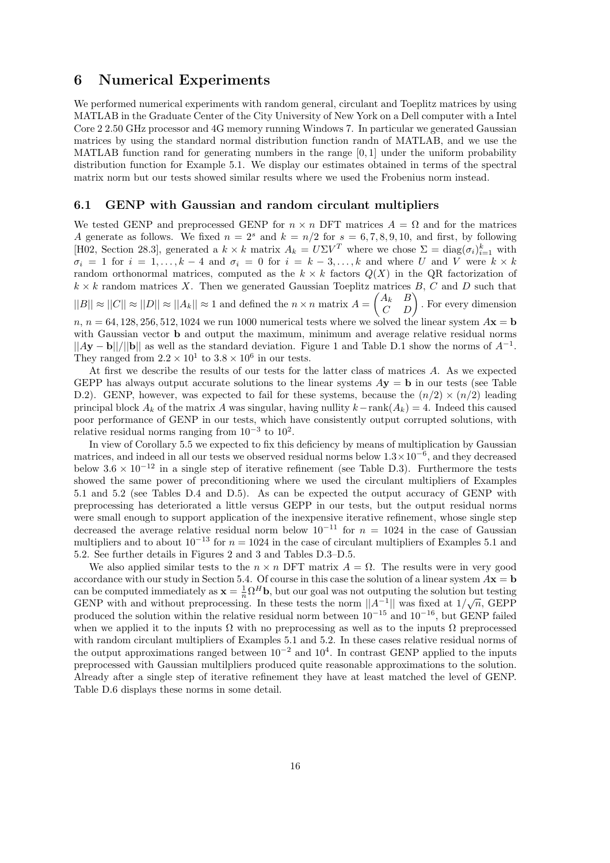### 6 Numerical Experiments

We performed numerical experiments with random general, circulant and Toeplitz matrices by using MATLAB in the Graduate Center of the City University of New York on a Dell computer with a Intel Core 2 2.50 GHz processor and 4G memory running Windows 7. In particular we generated Gaussian matrices by using the standard normal distribution function randn of MATLAB, and we use the MATLAB function rand for generating numbers in the range [0, 1] under the uniform probability distribution function for Example 5.1. We display our estimates obtained in terms of the spectral matrix norm but our tests showed similar results where we used the Frobenius norm instead.

### 6.1 GENP with Gaussian and random circulant multipliers

We tested GENP and preprocessed GENP for  $n \times n$  DFT matrices  $A = \Omega$  and for the matrices A generate as follows. We fixed  $n = 2<sup>s</sup>$  and  $k = n/2$  for  $s = 6, 7, 8, 9, 10$ , and first, by following [H02, Section 28.3], generated a  $k \times k$  matrix  $A_k = U\Sigma V^T$  where we chose  $\Sigma = \text{diag}(\sigma_i)_{i=1}^k$  with  $\sigma_i = 1$  for  $i = 1, \ldots, k - 4$  and  $\sigma_i = 0$  for  $i = k - 3, \ldots, k$  and where U and V were  $k \times k$ random orthonormal matrices, computed as the  $k \times k$  factors  $Q(X)$  in the QR factorization of  $k \times k$  random matrices X. Then we generated Gaussian Toeplitz matrices B, C and D such that  $||B|| \approx ||C|| \approx ||D|| \approx ||A_k|| \approx 1$  and defined the  $n \times n$  matrix  $A =$  $\begin{pmatrix} A_k & B \\ C & D \end{pmatrix}$ . For every dimension  $n, n = 64, 128, 256, 512, 1024$  we run 1000 numerical tests where we solved the linear system  $A\mathbf{x} = \mathbf{b}$ with Gaussian vector **b** and output the maximum, minimum and average relative residual norms  $||Ay - b||/||b||$  as well as the standard deviation. Figure 1 and Table D.1 show the norms of  $A^{-1}$ . They ranged from  $2.2 \times 10^1$  to  $3.8 \times 10^6$  in our tests.

At first we describe the results of our tests for the latter class of matrices A. As we expected GEPP has always output accurate solutions to the linear systems  $Ay = b$  in our tests (see Table D.2). GENP, however, was expected to fail for these systems, because the  $(n/2) \times (n/2)$  leading principal block  $A_k$  of the matrix A was singular, having nullity  $k-\text{rank}(A_k) = 4$ . Indeed this caused poor performance of GENP in our tests, which have consistently output corrupted solutions, with relative residual norms ranging from  $10^{-3}$  to  $10^{2}$ .

In view of Corollary 5.5 we expected to fix this deficiency by means of multiplication by Gaussian matrices, and indeed in all our tests we observed residual norms below  $1.3 \times 10^{-6}$ , and they decreased below  $3.6 \times 10^{-12}$  in a single step of iterative refinement (see Table D.3). Furthermore the tests showed the same power of preconditioning where we used the circulant multipliers of Examples 5.1 and 5.2 (see Tables D.4 and D.5). As can be expected the output accuracy of GENP with preprocessing has deteriorated a little versus GEPP in our tests, but the output residual norms were small enough to support application of the inexpensive iterative refinement, whose single step decreased the average relative residual norm below  $10^{-11}$  for  $n = 1024$  in the case of Gaussian multipliers and to about  $10^{-13}$  for  $n = 1024$  in the case of circulant multipliers of Examples 5.1 and 5.2. See further details in Figures 2 and 3 and Tables D.3–D.5.

We also applied similar tests to the  $n \times n$  DFT matrix  $A = \Omega$ . The results were in very good accordance with our study in Section 5.4. Of course in this case the solution of a linear system  $A\mathbf{x} = \mathbf{b}$ can be computed immediately as  $\mathbf{x} = \frac{1}{n} \Omega^H \mathbf{b}$ , but our goal was not outputing the solution but testing GENP with and without preprocessing. In these tests the norm  $||A^{-1}||$  was fixed at  $1/\sqrt{n}$ , GEPP produced the solution within the relative residual norm between  $10^{-15}$  and  $10^{-16}$ , but GENP failed when we applied it to the inputs  $\Omega$  with no preprocessing as well as to the inputs  $\Omega$  preprocessed with random circulant multipliers of Examples 5.1 and 5.2. In these cases relative residual norms of the output approximations ranged between  $10^{-2}$  and  $10^{4}$ . In contrast GENP applied to the inputs preprocessed with Gaussian multilpliers produced quite reasonable approximations to the solution. Already after a single step of iterative refinement they have at least matched the level of GENP. Table D.6 displays these norms in some detail.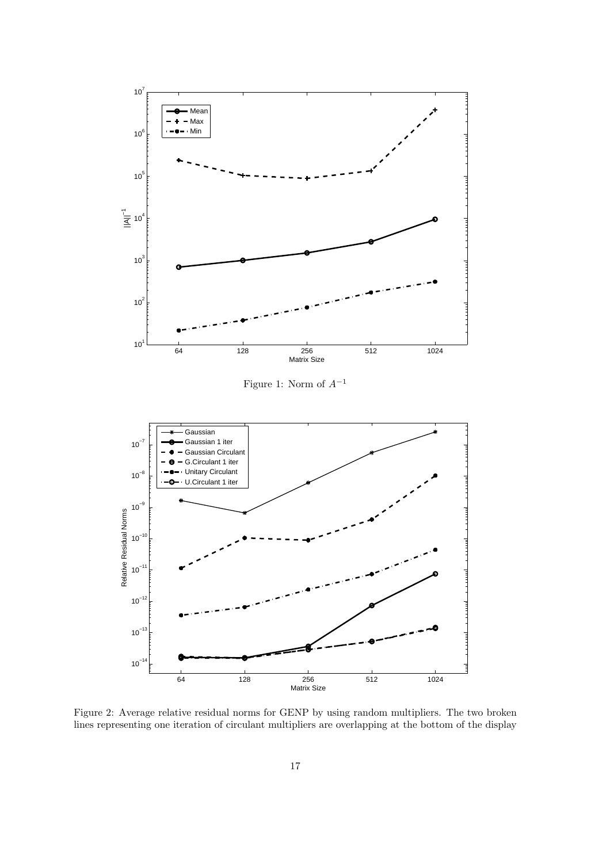

Figure 2: Average relative residual norms for GENP by using random multipliers. The two broken lines representing one iteration of circulant multipliers are overlapping at the bottom of the display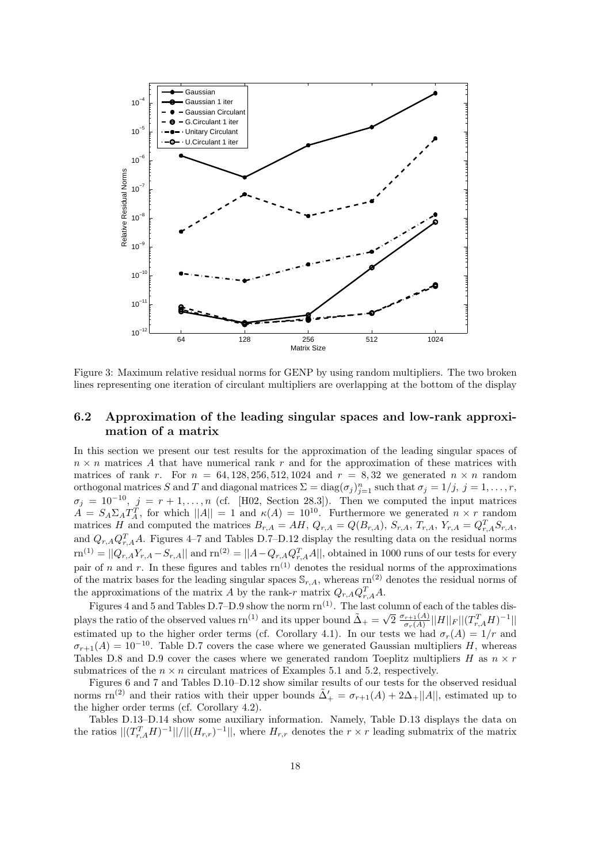

Figure 3: Maximum relative residual norms for GENP by using random multipliers. The two broken lines representing one iteration of circulant multipliers are overlapping at the bottom of the display

### 6.2 Approximation of the leading singular spaces and low-rank approximation of a matrix

In this section we present our test results for the approximation of the leading singular spaces of  $n \times n$  matrices A that have numerical rank r and for the approximation of these matrices with matrices of rank r. For  $n = 64, 128, 256, 512, 1024$  and  $r = 8, 32$  we generated  $n \times n$  random orthogonal matrices S and T and diagonal matrices  $\Sigma = \text{diag}(\sigma_j)_{j=1}^n$  such that  $\sigma_j = 1/j$ ,  $j = 1, \ldots, r$ ,  $\sigma_j = 10^{-10}, \ j = r + 1, \ldots, n$  (cf. [H02, Section 28.3]). Then we computed the input matrices  $A = S_A \Sigma_A T_A^T$ , for which  $||A|| = 1$  and  $\kappa(A) = 10^{10}$ . Furthermore we generated  $n \times r$  random matrices H and computed the matrices  $B_{r,A} = AH$ ,  $Q_{r,A} = Q(B_{r,A})$ ,  $S_{r,A}$ ,  $T_{r,A}$ ,  $Y_{r,A} = Q_{r,A}^T S_{r,A}$ , and  $Q_{r,A}Q_{r,A}^T A$ . Figures 4–7 and Tables D.7–D.12 display the resulting data on the residual norms  $\text{sn}^{(1)} = ||Q_{r,A}Y_{r,A} - S_{r,A}||$  and  $\text{rn}^{(2)} = ||A - Q_{r,A}Q_{r,A}^T A||$ , obtained in 1000 runs of our tests for every pair of n and r. In these figures and tables  $rn^{(1)}$  denotes the residual norms of the approximations of the matrix bases for the leading singular spaces  $\mathbb{S}_{r,A}$ , whereas rn<sup>(2)</sup> denotes the residual norms of the approximations of the matrix A by the rank-r matrix  $Q_{r,A} Q_{r,A}^T A$ .

Figures 4 and 5 and Tables D.7–D.9 show the norm  $rn^{(1)}$ . The last column of each of the tables displays the ratio of the observed values rn<sup>(1)</sup> and its upper bound  $\tilde{\Delta}_{+} = \sqrt{2} \frac{\sigma_{r+1}(A)}{\sigma_{r}(A)}$  $\frac{r_{r+1}(A)}{\sigma_r(A)}||H||_F ||(T_{r,A}^TH)^{-1}||_F$ estimated up to the higher order terms (cf. Corollary 4.1). In our tests we had  $\sigma_r(A) = 1/r$  and  $\sigma_{r+1}(A) = 10^{-10}$ . Table D.7 covers the case where we generated Gaussian multipliers H, whereas Tables D.8 and D.9 cover the cases where we generated random Toeplitz multipliers H as  $n \times r$ submatrices of the  $n \times n$  circulant matrices of Examples 5.1 and 5.2, respectively.

Figures 6 and 7 and Tables D.10–D.12 show similar results of our tests for the observed residual norms rn<sup>(2)</sup> and their ratios with their upper bounds  $\tilde{\Delta}'_+ = \sigma_{r+1}(A) + 2\Delta_+ ||A||$ , estimated up to the higher order terms (cf. Corollary 4.2).

Tables D.13–D.14 show some auxiliary information. Namely, Table D.13 displays the data on the ratios  $|| (T_{r,A}^T H)^{-1} || / || (H_{r,r})^{-1} ||$ , where  $H_{r,r}$  denotes the  $r \times r$  leading submatrix of the matrix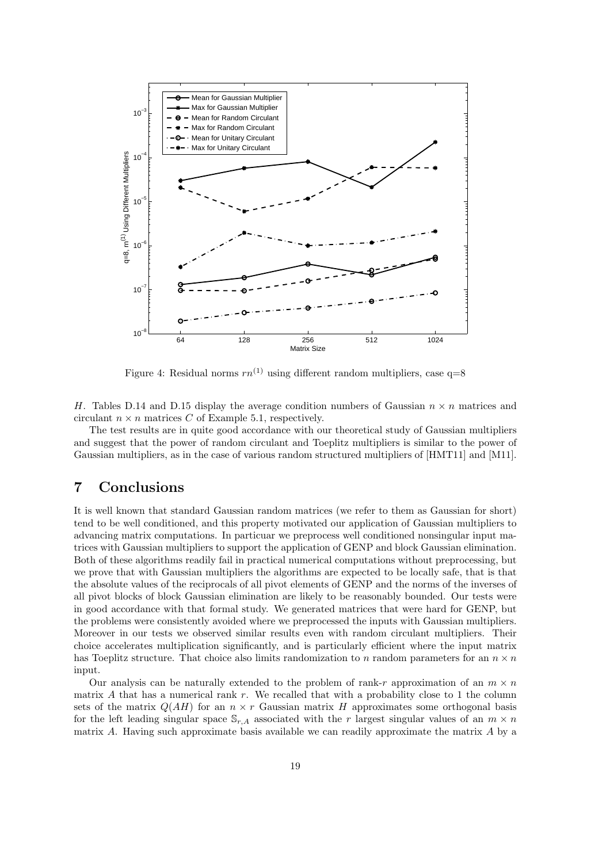

Figure 4: Residual norms  $rn^{(1)}$  using different random multipliers, case q=8

H. Tables D.14 and D.15 display the average condition numbers of Gaussian  $n \times n$  matrices and circulant  $n \times n$  matrices C of Example 5.1, respectively.

The test results are in quite good accordance with our theoretical study of Gaussian multipliers and suggest that the power of random circulant and Toeplitz multipliers is similar to the power of Gaussian multipliers, as in the case of various random structured multipliers of [HMT11] and [M11].

### 7 Conclusions

It is well known that standard Gaussian random matrices (we refer to them as Gaussian for short) tend to be well conditioned, and this property motivated our application of Gaussian multipliers to advancing matrix computations. In particuar we preprocess well conditioned nonsingular input matrices with Gaussian multipliers to support the application of GENP and block Gaussian elimination. Both of these algorithms readily fail in practical numerical computations without preprocessing, but we prove that with Gaussian multipliers the algorithms are expected to be locally safe, that is that the absolute values of the reciprocals of all pivot elements of GENP and the norms of the inverses of all pivot blocks of block Gaussian elimination are likely to be reasonably bounded. Our tests were in good accordance with that formal study. We generated matrices that were hard for GENP, but the problems were consistently avoided where we preprocessed the inputs with Gaussian multipliers. Moreover in our tests we observed similar results even with random circulant multipliers. Their choice accelerates multiplication significantly, and is particularly efficient where the input matrix has Toeplitz structure. That choice also limits randomization to n random parameters for an  $n \times n$ input.

Our analysis can be naturally extended to the problem of rank-r approximation of an  $m \times n$ matrix A that has a numerical rank r. We recalled that with a probability close to 1 the column sets of the matrix  $Q(AH)$  for an  $n \times r$  Gaussian matrix H approximates some orthogonal basis for the left leading singular space  $\mathbb{S}_{r,A}$  associated with the r largest singular values of an  $m \times n$ matrix A. Having such approximate basis available we can readily approximate the matrix  $A$  by a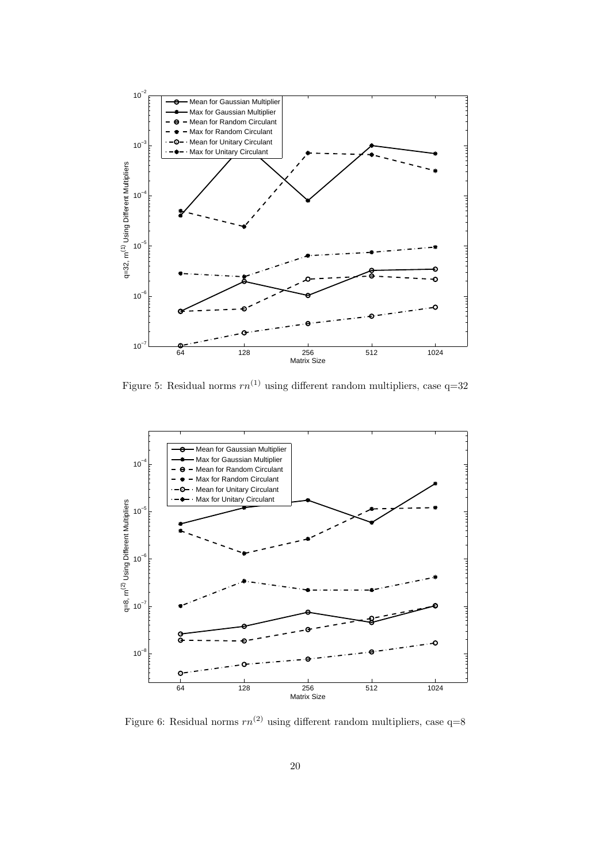

Figure 5: Residual norms  $rn^{(1)}$  using different random multipliers, case  $q=32$ 



Figure 6: Residual norms  $rn^{(2)}$  using different random multipliers, case  $q=8$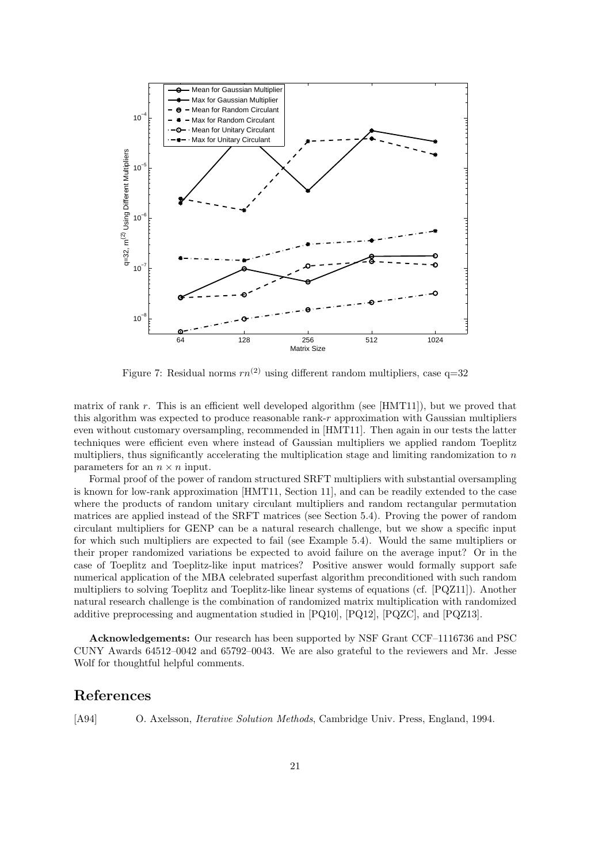

Figure 7: Residual norms  $rn^{(2)}$  using different random multipliers, case q=32

matrix of rank r. This is an efficient well developed algorithm (see [HMT11]), but we proved that this algorithm was expected to produce reasonable rank- $r$  approximation with Gaussian multipliers even without customary oversampling, recommended in [HMT11]. Then again in our tests the latter techniques were efficient even where instead of Gaussian multipliers we applied random Toeplitz multipliers, thus significantly accelerating the multiplication stage and limiting randomization to n parameters for an  $n \times n$  input.

Formal proof of the power of random structured SRFT multipliers with substantial oversampling is known for low-rank approximation [HMT11, Section 11], and can be readily extended to the case where the products of random unitary circulant multipliers and random rectangular permutation matrices are applied instead of the SRFT matrices (see Section 5.4). Proving the power of random circulant multipliers for GENP can be a natural research challenge, but we show a specific input for which such multipliers are expected to fail (see Example 5.4). Would the same multipliers or their proper randomized variations be expected to avoid failure on the average input? Or in the case of Toeplitz and Toeplitz-like input matrices? Positive answer would formally support safe numerical application of the MBA celebrated superfast algorithm preconditioned with such random multipliers to solving Toeplitz and Toeplitz-like linear systems of equations (cf. [PQZ11]). Another natural research challenge is the combination of randomized matrix multiplication with randomized additive preprocessing and augmentation studied in  $[PQ10]$ ,  $[PQ12]$ ,  $[PQZC]$ , and  $[PQZ13]$ .

Acknowledgements: Our research has been supported by NSF Grant CCF–1116736 and PSC CUNY Awards 64512–0042 and 65792–0043. We are also grateful to the reviewers and Mr. Jesse Wolf for thoughtful helpful comments.

### References

[A94] O. Axelsson, Iterative Solution Methods, Cambridge Univ. Press, England, 1994.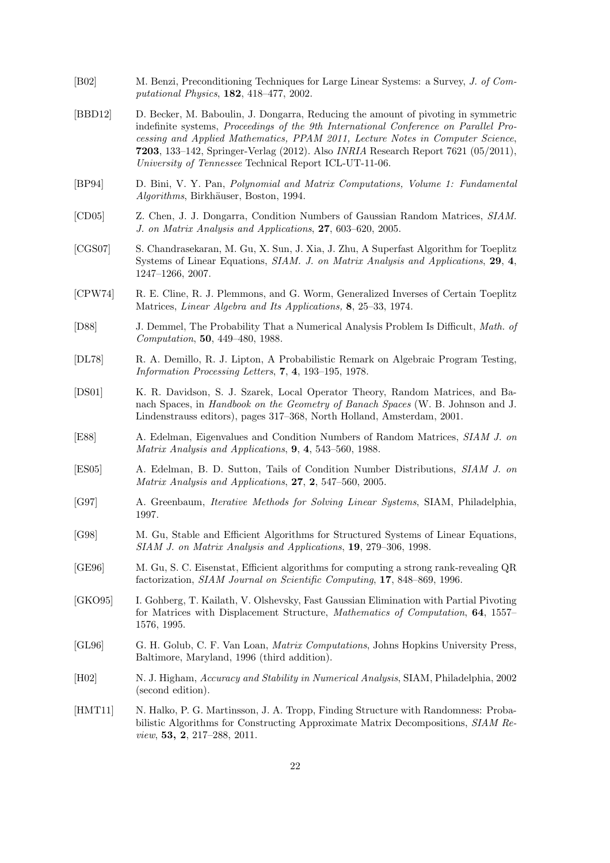- [B02] M. Benzi, Preconditioning Techniques for Large Linear Systems: a Survey, J. of Computational Physics, 182, 418–477, 2002.
- [BBD12] D. Becker, M. Baboulin, J. Dongarra, Reducing the amount of pivoting in symmetric indefinite systems, Proceedings of the 9th International Conference on Parallel Processing and Applied Mathematics, PPAM 2011, Lecture Notes in Computer Science, 7203, 133–142, Springer-Verlag (2012). Also INRIA Research Report 7621 (05/2011), University of Tennessee Technical Report ICL-UT-11-06.
- [BP94] D. Bini, V. Y. Pan, Polynomial and Matrix Computations, Volume 1: Fundamental Algorithms, Birkhäuser, Boston, 1994.
- [CD05] Z. Chen, J. J. Dongarra, Condition Numbers of Gaussian Random Matrices, SIAM. J. on Matrix Analysis and Applications, 27, 603–620, 2005.
- [CGS07] S. Chandrasekaran, M. Gu, X. Sun, J. Xia, J. Zhu, A Superfast Algorithm for Toeplitz Systems of Linear Equations, SIAM. J. on Matrix Analysis and Applications, 29, 4, 1247–1266, 2007.
- [CPW74] R. E. Cline, R. J. Plemmons, and G. Worm, Generalized Inverses of Certain Toeplitz Matrices, Linear Algebra and Its Applications, 8, 25–33, 1974.
- [D88] J. Demmel, The Probability That a Numerical Analysis Problem Is Difficult, Math. of Computation, 50, 449–480, 1988.
- [DL78] R. A. Demillo, R. J. Lipton, A Probabilistic Remark on Algebraic Program Testing, Information Processing Letters, 7, 4, 193–195, 1978.
- [DS01] K. R. Davidson, S. J. Szarek, Local Operator Theory, Random Matrices, and Banach Spaces, in Handbook on the Geometry of Banach Spaces (W. B. Johnson and J. Lindenstrauss editors), pages 317–368, North Holland, Amsterdam, 2001.
- [E88] A. Edelman, Eigenvalues and Condition Numbers of Random Matrices, SIAM J. on Matrix Analysis and Applications, 9, 4, 543–560, 1988.
- [ES05] A. Edelman, B. D. Sutton, Tails of Condition Number Distributions, SIAM J. on Matrix Analysis and Applications, 27, 2, 547–560, 2005.
- [G97] A. Greenbaum, Iterative Methods for Solving Linear Systems, SIAM, Philadelphia, 1997.
- [G98] M. Gu, Stable and Efficient Algorithms for Structured Systems of Linear Equations, SIAM J. on Matrix Analysis and Applications, 19, 279–306, 1998.
- [GE96] M. Gu, S. C. Eisenstat, Efficient algorithms for computing a strong rank-revealing QR factorization, SIAM Journal on Scientific Computing, 17, 848–869, 1996.
- [GKO95] I. Gohberg, T. Kailath, V. Olshevsky, Fast Gaussian Elimination with Partial Pivoting for Matrices with Displacement Structure, Mathematics of Computation, 64, 1557– 1576, 1995.
- [GL96] G. H. Golub, C. F. Van Loan, Matrix Computations, Johns Hopkins University Press, Baltimore, Maryland, 1996 (third addition).
- [H02] N. J. Higham, Accuracy and Stability in Numerical Analysis, SIAM, Philadelphia, 2002 (second edition).
- [HMT11] N. Halko, P. G. Martinsson, J. A. Tropp, Finding Structure with Randomness: Probabilistic Algorithms for Constructing Approximate Matrix Decompositions, SIAM Review, 53, 2, 217–288, 2011.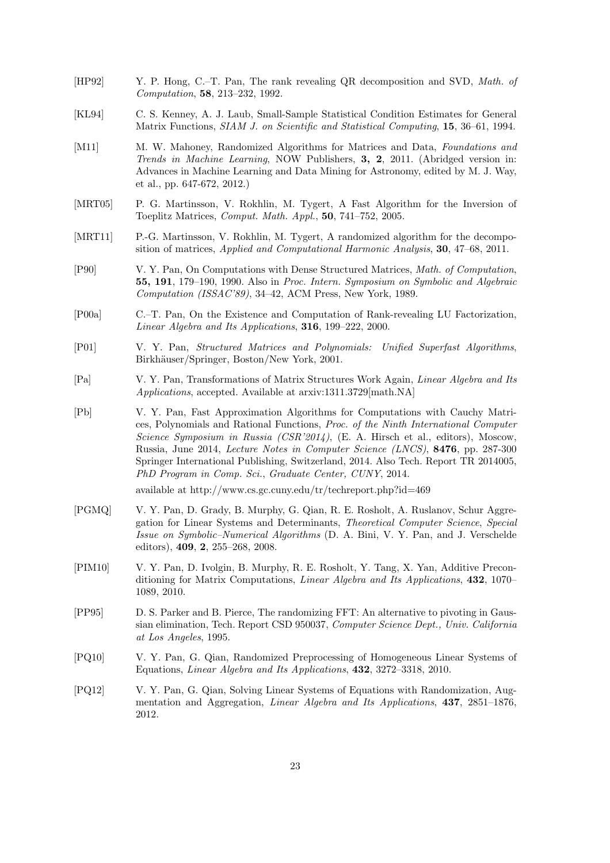- [HP92] Y. P. Hong, C.–T. Pan, The rank revealing QR decomposition and SVD, Math. of Computation, 58, 213–232, 1992.
- [KL94] C. S. Kenney, A. J. Laub, Small-Sample Statistical Condition Estimates for General Matrix Functions, SIAM J. on Scientific and Statistical Computing, 15, 36–61, 1994.
- [M11] M. W. Mahoney, Randomized Algorithms for Matrices and Data, Foundations and Trends in Machine Learning, NOW Publishers, 3, 2, 2011. (Abridged version in: Advances in Machine Learning and Data Mining for Astronomy, edited by M. J. Way, et al., pp. 647-672, 2012.)
- [MRT05] P. G. Martinsson, V. Rokhlin, M. Tygert, A Fast Algorithm for the Inversion of Toeplitz Matrices, Comput. Math. Appl., 50, 741–752, 2005.
- [MRT11] P.-G. Martinsson, V. Rokhlin, M. Tygert, A randomized algorithm for the decomposition of matrices, Applied and Computational Harmonic Analysis, 30, 47–68, 2011.
- [P90] V. Y. Pan, On Computations with Dense Structured Matrices, Math. of Computation, 55, 191, 179–190, 1990. Also in Proc. Intern. Symposium on Symbolic and Algebraic Computation (ISSAC'89), 34–42, ACM Press, New York, 1989.
- [P00a] C.–T. Pan, On the Existence and Computation of Rank-revealing LU Factorization, Linear Algebra and Its Applications, 316, 199–222, 2000.
- [P01] V. Y. Pan, Structured Matrices and Polynomials: Unified Superfast Algorithms, Birkhäuser/Springer, Boston/New York, 2001.
- [Pa] V. Y. Pan, Transformations of Matrix Structures Work Again, Linear Algebra and Its Applications, accepted. Available at arxiv:1311.3729[math.NA]
- [Pb] V. Y. Pan, Fast Approximation Algorithms for Computations with Cauchy Matrices, Polynomials and Rational Functions, Proc. of the Ninth International Computer Science Symposium in Russia (CSR'2014), (E. A. Hirsch et al., editors), Moscow, Russia, June 2014, Lecture Notes in Computer Science (LNCS), 8476, pp. 287-300 Springer International Publishing, Switzerland, 2014. Also Tech. Report TR 2014005, PhD Program in Comp. Sci., Graduate Center, CUNY, 2014.

available at http://www.cs.gc.cuny.edu/tr/techreport.php?id=469

- [PGMQ] V. Y. Pan, D. Grady, B. Murphy, G. Qian, R. E. Rosholt, A. Ruslanov, Schur Aggregation for Linear Systems and Determinants, Theoretical Computer Science, Special Issue on Symbolic–Numerical Algorithms (D. A. Bini, V. Y. Pan, and J. Verschelde editors), 409, 2, 255–268, 2008.
- [PIM10] V. Y. Pan, D. Ivolgin, B. Murphy, R. E. Rosholt, Y. Tang, X. Yan, Additive Preconditioning for Matrix Computations, Linear Algebra and Its Applications, 432, 1070– 1089, 2010.
- [PP95] D. S. Parker and B. Pierce, The randomizing FFT: An alternative to pivoting in Gaussian elimination, Tech. Report CSD 950037, Computer Science Dept., Univ. California at Los Angeles, 1995.
- [PQ10] V. Y. Pan, G. Qian, Randomized Preprocessing of Homogeneous Linear Systems of Equations, Linear Algebra and Its Applications, 432, 3272–3318, 2010.
- [PQ12] V. Y. Pan, G. Qian, Solving Linear Systems of Equations with Randomization, Augmentation and Aggregation, Linear Algebra and Its Applications, 437, 2851–1876, 2012.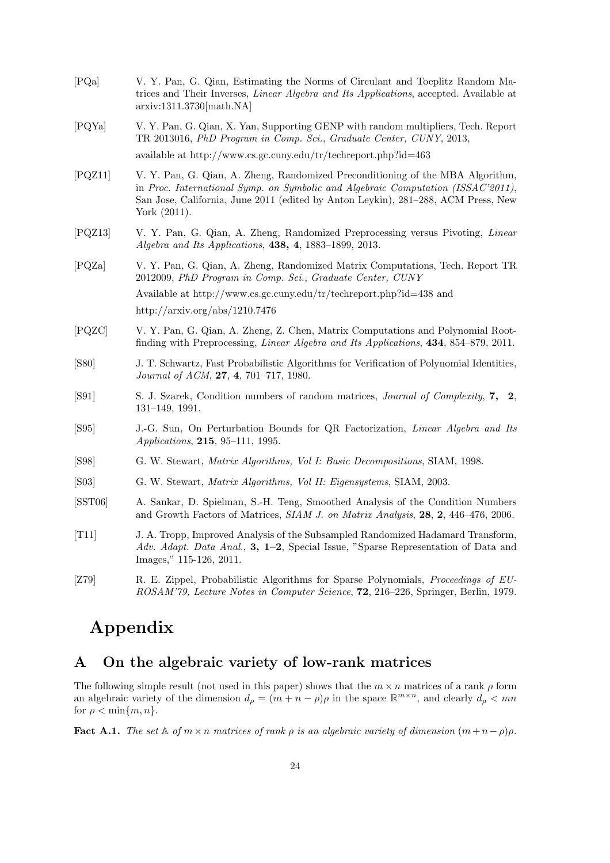| [PQa]            | V. Y. Pan, G. Qian, Estimating the Norms of Circulant and Toeplitz Random Ma-<br>trices and Their Inverses, <i>Linear Algebra and Its Applications</i> , accepted. Available at<br>arxiv:1311.3730[math.NA]                                                                |
|------------------|----------------------------------------------------------------------------------------------------------------------------------------------------------------------------------------------------------------------------------------------------------------------------|
| [PQYa]           | V. Y. Pan, G. Qian, X. Yan, Supporting GENP with random multipliers, Tech. Report<br>TR 2013016, PhD Program in Comp. Sci., Graduate Center, CUNY, 2013,                                                                                                                   |
|                  | available at $http://www.cs.gc.cuny.edu/tr/techneport.php?id=463$                                                                                                                                                                                                          |
| [PQZ11]          | V. Y. Pan, G. Qian, A. Zheng, Randomized Preconditioning of the MBA Algorithm,<br>in Proc. International Symp. on Symbolic and Algebraic Computation (ISSAC'2011),<br>San Jose, California, June 2011 (edited by Anton Leykin), 281–288, ACM Press, New<br>York $(2011)$ . |
| [PQZ13]          | V. Y. Pan, G. Qian, A. Zheng, Randomized Preprocessing versus Pivoting, Linear<br>Algebra and Its Applications, $438, 4, 1883-1899, 2013$ .                                                                                                                                |
| [PQZa]           | V. Y. Pan, G. Qian, A. Zheng, Randomized Matrix Computations, Tech. Report TR<br>2012009, PhD Program in Comp. Sci., Graduate Center, CUNY                                                                                                                                 |
|                  | Available at http://www.cs.gc.cuny.edu/tr/techreport.php?id=438 and                                                                                                                                                                                                        |
|                  | http://arxiv.org/abs/1210.7476                                                                                                                                                                                                                                             |
| [PQZC]           | V. Y. Pan, G. Qian, A. Zheng, Z. Chen, Matrix Computations and Polynomial Root-<br>finding with Preprocessing, <i>Linear Algebra and Its Applications</i> , 434, 854–879, 2011.                                                                                            |
| [S80]            | J. T. Schwartz, Fast Probabilistic Algorithms for Verification of Polynomial Identities,<br>Journal of ACM, 27, 4, 701-717, 1980.                                                                                                                                          |
| [S91]            | S. J. Szarek, Condition numbers of random matrices, Journal of Complexity, 7, 2,<br>$131-149$ , 1991.                                                                                                                                                                      |
| [S95]            | J.-G. Sun, On Perturbation Bounds for QR Factorization, Linear Algebra and Its<br>Applications, 215, 95-111, 1995.                                                                                                                                                         |
| [S98]            | G. W. Stewart, <i>Matrix Algorithms, Vol I: Basic Decompositions</i> , SIAM, 1998.                                                                                                                                                                                         |
| [503]            | G. W. Stewart, Matrix Algorithms, Vol II: Eigensystems, SIAM, 2003.                                                                                                                                                                                                        |
| [ <b>SST06</b> ] | A. Sankar, D. Spielman, S.-H. Teng, Smoothed Analysis of the Condition Numbers<br>and Growth Factors of Matrices, SIAM J. on Matrix Analysis, 28, 2, 446-476, 2006.                                                                                                        |
| [T11]            | J. A. Tropp, Improved Analysis of the Subsampled Randomized Hadamard Transform,<br>Adv. Adapt. Data Anal., 3, 1–2, Special Issue, "Sparse Representation of Data and<br>Images," 115-126, 2011.                                                                            |
| [Z79]            | R. E. Zippel, Probabilistic Algorithms for Sparse Polynomials, Proceedings of EU-<br>ROSAM'79, Lecture Notes in Computer Science, 72, 216–226, Springer, Berlin, 1979.                                                                                                     |

# Appendix

## A On the algebraic variety of low-rank matrices

The following simple result (not used in this paper) shows that the  $m \times n$  matrices of a rank  $\rho$  form an algebraic variety of the dimension  $d_{\rho} = (m + n - \rho)\rho$  in the space  $\mathbb{R}^{m \times n}$ , and clearly  $d_{\rho} < mn$ for  $\rho < \min\{m, n\}.$ 

**Fact A.1.** The set A of  $m \times n$  matrices of rank  $\rho$  is an algebraic variety of dimension  $(m + n - \rho)\rho$ .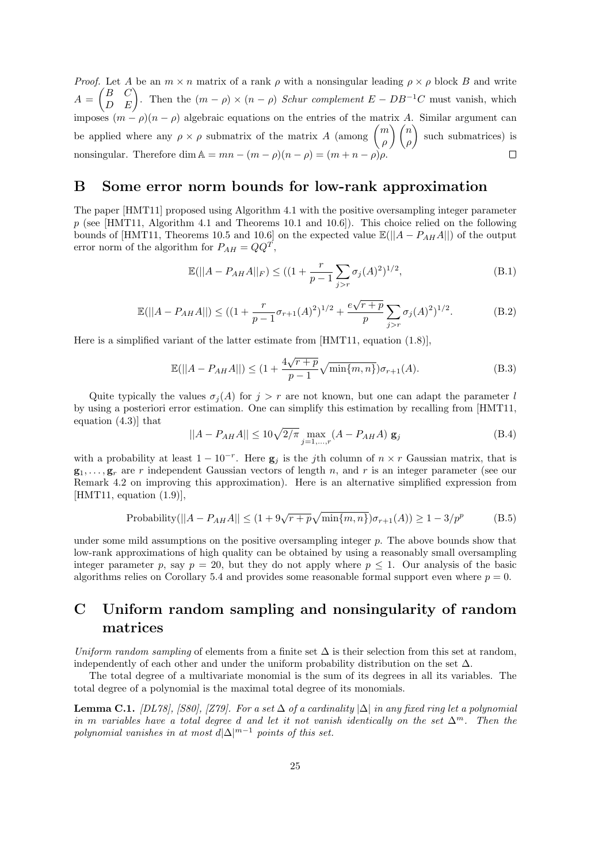*Proof.* Let A be an  $m \times n$  matrix of a rank  $\rho$  with a nonsingular leading  $\rho \times \rho$  block B and write  $A =$  $\begin{pmatrix} B & C \ D & E \end{pmatrix}$ . Then the  $(m - \rho) \times (n - \rho)$  Schur complement  $E - DB^{-1}C$  must vanish, which imposes  $(m - \rho)(n - \rho)$  algebraic equations on the entries of the matrix A. Similar argument can be applied where any  $\rho \times \rho$  submatrix of the matrix A (among  $\begin{pmatrix} m \\ o \end{pmatrix}$ ρ  $\binom{n}{n}$ ρ  $\setminus$ such submatrices) is nonsingular. Therefore dim  $A = mn - (m - \rho)(n - \rho) = (m + n - \rho)\rho$ .

### B Some error norm bounds for low-rank approximation

The paper [HMT11] proposed using Algorithm 4.1 with the positive oversampling integer parameter  $p$  (see [HMT11, Algorithm 4.1 and Theorems 10.1 and 10.6]). This choice relied on the following bounds of [HMT11, Theorems 10.5 and 10.6] on the expected value  $\mathbb{E}(|A - P_{AH}A||)$  of the output error norm of the algorithm for  $P_{AH} = QQ^T$ ,

$$
\mathbb{E}(|A - P_{AH}A||_F) \le ((1 + \frac{r}{p-1} \sum_{j>r} \sigma_j(A)^2)^{1/2},
$$
\n(B.1)

$$
\mathbb{E}(||A - P_{AH}A||) \le ((1 + \frac{r}{p-1}\sigma_{r+1}(A)^2)^{1/2} + \frac{e\sqrt{r+p}}{p} \sum_{j>r} \sigma_j(A)^2)^{1/2}.
$$
 (B.2)

Here is a simplified variant of the latter estimate from [HMT11, equation (1.8)],

$$
\mathbb{E}(||A - P_{AH}A||) \le (1 + \frac{4\sqrt{r+p}}{p-1}\sqrt{\min\{m, n\}})\sigma_{r+1}(A). \tag{B.3}
$$

Quite typically the values  $\sigma_i(A)$  for  $j > r$  are not known, but one can adapt the parameter l by using a posteriori error estimation. One can simplify this estimation by recalling from [HMT11, equation (4.3)] that

$$
||A - P_{AH}A|| \le 10\sqrt{2/\pi} \max_{j=1,\dots,r} (A - P_{AH}A) \mathbf{g}_j
$$
 (B.4)

with a probability at least  $1 - 10^{-r}$ . Here  $g_j$  is the jth column of  $n \times r$  Gaussian matrix, that is  $g_1, \ldots, g_r$  are r independent Gaussian vectors of length n, and r is an integer parameter (see our Remark 4.2 on improving this approximation). Here is an alternative simplified expression from  $[HMT11, equation (1.9)],$ 

Probability(
$$
||A - P_{AH}A|| \le (1 + 9\sqrt{r+p}\sqrt{\min\{m, n\}})\sigma_{r+1}(A)) \ge 1 - 3/p^p
$$
 (B.5)

under some mild assumptions on the positive oversampling integer p. The above bounds show that low-rank approximations of high quality can be obtained by using a reasonably small oversampling integer parameter p, say  $p = 20$ , but they do not apply where  $p \leq 1$ . Our analysis of the basic algorithms relies on Corollary 5.4 and provides some reasonable formal support even where  $p = 0$ .

## C Uniform random sampling and nonsingularity of random matrices

Uniform random sampling of elements from a finite set  $\Delta$  is their selection from this set at random, independently of each other and under the uniform probability distribution on the set  $\Delta$ .

The total degree of a multivariate monomial is the sum of its degrees in all its variables. The total degree of a polynomial is the maximal total degree of its monomials.

**Lemma C.1.** [DL78], [S80], [Z79]. For a set  $\Delta$  of a cardinality  $|\Delta|$  in any fixed ring let a polynomial in m variables have a total degree d and let it not vanish identically on the set  $\Delta^m$ . Then the polynomial vanishes in at most  $d|\Delta|^{m-1}$  points of this set.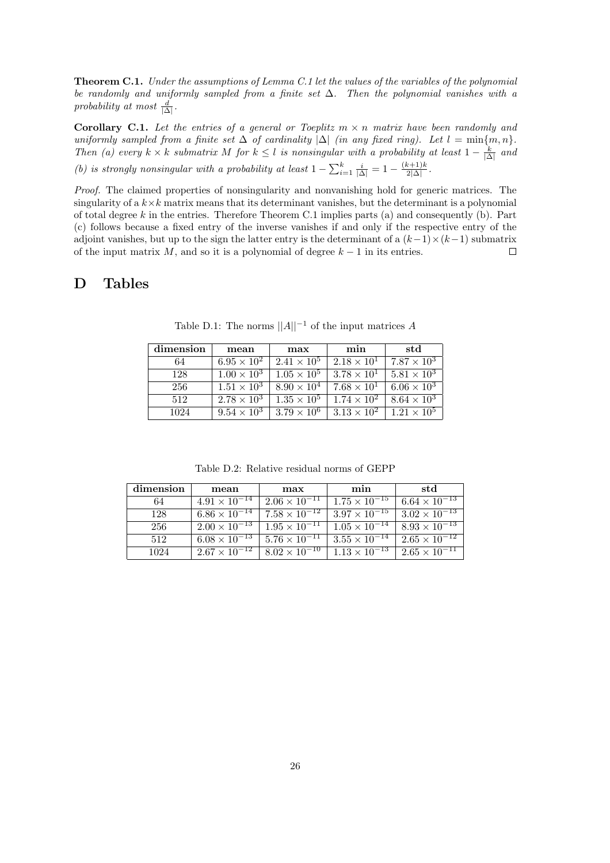Theorem C.1. Under the assumptions of Lemma C.1 let the values of the variables of the polynomial be randomly and uniformly sampled from a finite set  $\Delta$ . Then the polynomial vanishes with a probability at most  $\frac{d}{|\Delta|}$ .

Corollary C.1. Let the entries of a general or Toeplitz  $m \times n$  matrix have been randomly and uniformly sampled from a finite set  $\Delta$  of cardinality  $|\Delta|$  (in any fixed ring). Let  $l = \min\{m, n\}$ . Then (a) every  $k \times k$  submatrix M for  $k \leq l$  is nonsingular with a probability at least  $1 - \frac{k}{|\Delta|}$  and (b) is strongly nonsingular with a probability at least  $1 - \sum_{i=1}^{k} \frac{i}{|\Delta|} = 1 - \frac{(k+1)k}{2|\Delta|}$  $\frac{x+1}{2|\Delta|}$ .

Proof. The claimed properties of nonsingularity and nonvanishing hold for generic matrices. The singularity of a  $k \times k$  matrix means that its determinant vanishes, but the determinant is a polynomial of total degree  $k$  in the entries. Therefore Theorem C.1 implies parts (a) and consequently (b). Part (c) follows because a fixed entry of the inverse vanishes if and only if the respective entry of the adjoint vanishes, but up to the sign the latter entry is the determinant of a  $(k-1) \times (k-1)$  submatrix of the input matrix M, and so it is a polynomial of degree  $k-1$  in its entries. of the input matrix  $M$ , and so it is a polynomial of degree  $k - 1$  in its entries.

### D Tables

| dimension | mean                 | max                  | min                  | std                  |
|-----------|----------------------|----------------------|----------------------|----------------------|
| 64        | $6.95 \times 10^{2}$ | $2.41 \times 10^{5}$ | $2.18 \times 10^{1}$ | $7.87 \times 10^3$   |
| 128       | $1.00 \times 10^{3}$ | $1.05 \times 10^{5}$ | $3.78 \times 10^{1}$ | $5.81 \times 10^3$   |
| 256       | $1.51 \times 10^3$   | $8.90 \times 10^{4}$ | $7.68 \times 10^{1}$ | $6.06 \times 10^{3}$ |
| 512       | $2.78 \times 10^3$   | $1.35 \times 10^{5}$ | $1.74 \times 10^{2}$ | $8.64 \times 10^{3}$ |
| 1024      | $9.54 \times 10^{3}$ | $3.79 \times 10^{6}$ | $3.13 \times 10^{2}$ | $1.21 \times 10^{5}$ |

Table D.1: The norms  $||A||^{-1}$  of the input matrices A

Table D.2: Relative residual norms of GEPP

| dimension | mean                   | max                    | min                    | std                    |
|-----------|------------------------|------------------------|------------------------|------------------------|
| 64        | $4.91 \times 10^{-14}$ | $2.06 \times 10^{-11}$ | $1.75 \times 10^{-15}$ | $6.64 \times 10^{-13}$ |
| 128       | $6.86 \times 10^{-14}$ | $7.58 \times 10^{-12}$ | $3.97 \times 10^{-15}$ | $3.02 \times 10^{-13}$ |
| 256       | $2.00 \times 10^{-13}$ | $1.95 \times 10^{-11}$ | $1.05 \times 10^{-14}$ | $8.93 \times 10^{-13}$ |
| 512       | $6.08 \times 10^{-13}$ | $5.76 \times 10^{-11}$ | $3.55 \times 10^{-14}$ | $2.65 \times 10^{-12}$ |
| 1024      | $2.67 \times 10^{-12}$ | $8.02 \times 10^{-10}$ | $1.13 \times 10^{-13}$ | $2.65 \times 10^{-11}$ |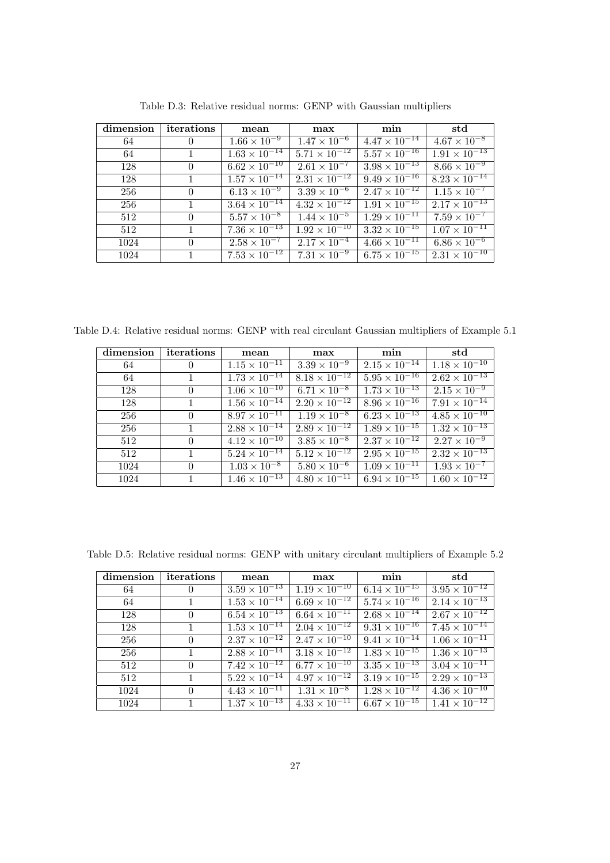| dimension | iterations   | mean                   | max                    | min                    | $_{\rm std}$                      |
|-----------|--------------|------------------------|------------------------|------------------------|-----------------------------------|
| 64        | $\theta$     | $1.66 \times 10^{-9}$  | $1.47 \times 10^{-6}$  | $4.47 \times 10^{-14}$ | $4.67 \times 10^{-8}$             |
| 64        | $\mathbf{1}$ | $1.63 \times 10^{-14}$ | $5.71 \times 10^{-12}$ | $5.57 \times 10^{-16}$ | $1.91 \times 10^{-13}$            |
| 128       | $\theta$     | $6.62 \times 10^{-10}$ | $2.61 \times 10^{-7}$  | $3.98 \times 10^{-13}$ | $8.66 \times 10^{-9}$             |
| 128       | $\mathbf{1}$ | $1.57 \times 10^{-14}$ | $2.31 \times 10^{-12}$ | $9.49 \times 10^{-16}$ | $8.23 \times 10^{-14}$            |
| 256       | $\theta$     | $6.13 \times 10^{-9}$  | $3.39 \times 10^{-6}$  | $2.47 \times 10^{-12}$ | $1.15 \times 10^{-7}$             |
| 256       | $\mathbf{1}$ | $3.64 \times 10^{-14}$ | $4.32 \times 10^{-12}$ | $1.91 \times 10^{-15}$ | $2.17 \times \overline{10^{-13}}$ |
| 512       | $\Omega$     | $5.57 \times 10^{-8}$  | $1.44 \times 10^{-5}$  | $1.29 \times 10^{-11}$ | $7.59 \times 10^{-7}$             |
| 512       | $\mathbf{1}$ | $7.36 \times 10^{-13}$ | $1.92 \times 10^{-10}$ | $3.32 \times 10^{-15}$ | $1.07 \times 10^{-11}$            |
| 1024      | $\Omega$     | $2.58 \times 10^{-7}$  | $2.17 \times 10^{-4}$  | $4.66 \times 10^{-11}$ | $6.86 \times 10^{-6}$             |
| 1024      | $\mathbf{1}$ | $7.53 \times 10^{-12}$ | $7.31 \times 10^{-9}$  | $6.75 \times 10^{-15}$ | $2.31 \times 10^{-10}$            |

Table D.3: Relative residual norms: GENP with Gaussian multipliers

Table D.4: Relative residual norms: GENP with real circulant Gaussian multipliers of Example 5.1

| dimension | iterations     | mean                              | max                    | min                    | std                               |
|-----------|----------------|-----------------------------------|------------------------|------------------------|-----------------------------------|
| 64        | $\theta$       | $1.15 \times 10^{-11}$            | $3.39 \times 10^{-9}$  | $2.15 \times 10^{-14}$ | $1.18 \times 10^{-10}$            |
| 64        | $\mathbf{1}$   | $1.73 \times 10^{-14}$            | $8.18 \times 10^{-12}$ | $5.95 \times 10^{-16}$ | $2.62 \times \overline{10^{-13}}$ |
| 128       | $\theta$       | $1.06 \times 10^{-10}$            | $6.71 \times 10^{-8}$  | $1.73 \times 10^{-13}$ | $2.15 \times 10^{-9}$             |
| 128       | $\mathbf{1}$   | $1.56 \times \overline{10^{-14}}$ | $2.20 \times 10^{-12}$ | $8.96 \times 10^{-16}$ | $7.91 \times 10^{-14}$            |
| 256       | $\Omega$       | $8.97 \times 10^{-11}$            | $1.19 \times 10^{-8}$  | $6.23 \times 10^{-13}$ | $4.85 \times 10^{-10}$            |
| 256       | $\mathbf{1}$   | $2.88 \times 10^{-14}$            | $2.89 \times 10^{-12}$ | $1.89 \times 10^{-15}$ | $1.32 \times 10^{-13}$            |
| 512       | $\Omega$       | $4.12 \times 10^{-10}$            | $3.85 \times 10^{-8}$  | $2.37 \times 10^{-12}$ | $2.27 \times 10^{-9}$             |
| 512       | $\overline{1}$ | $5.24 \times 10^{-14}$            | $5.12 \times 10^{-12}$ | $2.95 \times 10^{-15}$ | $2.32 \times 10^{-13}$            |
| 1024      | $\Omega$       | $1.03 \times 10^{-8}$             | $5.80 \times 10^{-6}$  | $1.09 \times 10^{-11}$ | $1.93 \times 10^{-7}$             |
| 1024      | $\mathbf{1}$   | $1.46 \times 10^{-13}$            | $4.80 \times 10^{-11}$ | $6.94 \times 10^{-15}$ | $1.60 \times 10^{-12}$            |

Table D.5: Relative residual norms: GENP with unitary circulant multipliers of Example 5.2

| dimension | iterations   | mean                              | max                    | min                    | $_{\rm std}$           |
|-----------|--------------|-----------------------------------|------------------------|------------------------|------------------------|
| 64        | $\theta$     | $3.59 \times 10^{-13}$            | $1.19 \times 10^{-10}$ | $6.14 \times 10^{-15}$ | $3.95 \times 10^{-12}$ |
| 64        | $\mathbf{1}$ | $1.53 \times \overline{10^{-14}}$ | $6.69 \times 10^{-12}$ | $5.74 \times 10^{-16}$ | $2.14 \times 10^{-13}$ |
| 128       | $\theta$     | $6.54 \times 10^{-13}$            | $6.64 \times 10^{-11}$ | $2.68 \times 10^{-14}$ | $2.67 \times 10^{-12}$ |
| 128       | $\mathbf{1}$ | $1.53 \times 10^{-14}$            | $2.04 \times 10^{-12}$ | $9.31 \times 10^{-16}$ | $7.45 \times 10^{-14}$ |
| 256       | $\Omega$     | $2.37 \times 10^{-12}$            | $2.47 \times 10^{-10}$ | $9.41 \times 10^{-14}$ | $1.06 \times 10^{-11}$ |
| 256       | $\mathbf{1}$ | $2.88 \times 10^{-14}$            | $3.18 \times 10^{-12}$ | $1.83 \times 10^{-15}$ | $1.36 \times 10^{-13}$ |
| 512       | $\Omega$     | $7.42 \times 10^{-12}$            | $6.77 \times 10^{-10}$ | $3.35 \times 10^{-13}$ | $3.04 \times 10^{-11}$ |
| 512       | $\mathbf{1}$ | $5.22 \times 10^{-14}$            | $4.97 \times 10^{-12}$ | $3.19 \times 10^{-15}$ | $2.29 \times 10^{-13}$ |
| 1024      | $\Omega$     | $4.43 \times 10^{-11}$            | $1.31 \times 10^{-8}$  | $1.28 \times 10^{-12}$ | $4.36 \times 10^{-10}$ |
| 1024      | $\mathbf{1}$ | $1.37 \times 10^{-13}$            | $4.33 \times 10^{-11}$ | $6.67 \times 10^{-15}$ | $1.41 \times 10^{-12}$ |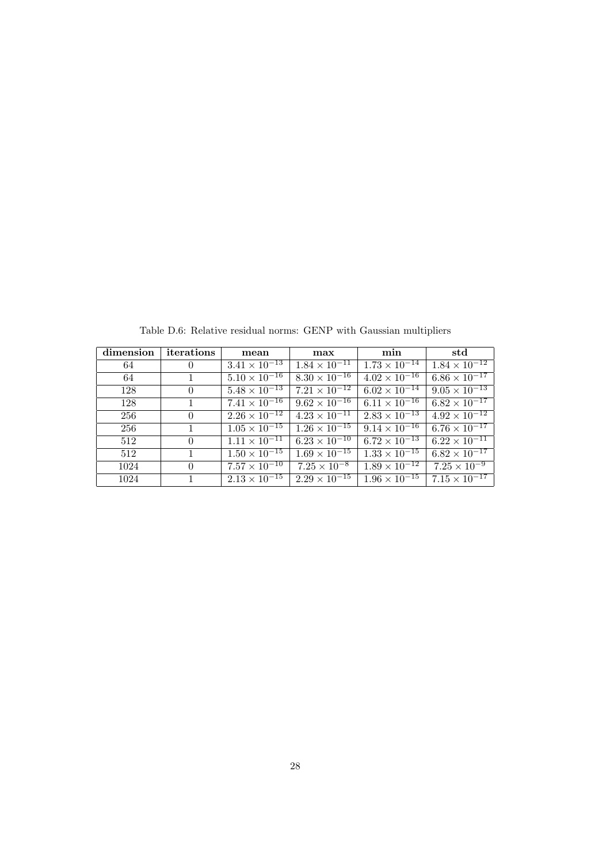| dimension | iterations     | mean                   | max                    | min                    | std                    |
|-----------|----------------|------------------------|------------------------|------------------------|------------------------|
| 64        | $\overline{0}$ | $3.41 \times 10^{-13}$ | $1.84 \times 10^{-11}$ | $1.73 \times 10^{-14}$ | $1.84 \times 10^{-12}$ |
| 64        | $\mathbf{1}$   | $5.10 \times 10^{-16}$ | $8.30 \times 10^{-16}$ | $4.02 \times 10^{-16}$ | $6.86 \times 10^{-17}$ |
| 128       | $\Omega$       | $5.48 \times 10^{-13}$ | $7.21 \times 10^{-12}$ | $6.02 \times 10^{-14}$ | $9.05 \times 10^{-13}$ |
| 128       | $\mathbf{1}$   | $7.41 \times 10^{-16}$ | $9.62 \times 10^{-16}$ | $6.11 \times 10^{-16}$ | $6.82 \times 10^{-17}$ |
| 256       | $\Omega$       | $2.26 \times 10^{-12}$ | $4.23 \times 10^{-11}$ | $2.83 \times 10^{-13}$ | $4.92 \times 10^{-12}$ |
| 256       | $\mathbf{1}$   | $1.05 \times 10^{-15}$ | $1.26 \times 10^{-15}$ | $9.14 \times 10^{-16}$ | $6.76 \times 10^{-17}$ |
| 512       | $\theta$       | $1.11 \times 10^{-11}$ | $6.23 \times 10^{-10}$ | $6.72 \times 10^{-13}$ | $6.22 \times 10^{-11}$ |
| 512       | $\overline{1}$ | $1.50 \times 10^{-15}$ | $1.69 \times 10^{-15}$ | $1.33 \times 10^{-15}$ | $6.82 \times 10^{-17}$ |
| 1024      | $\Omega$       | $7.57 \times 10^{-10}$ | $7.25 \times 10^{-8}$  | $1.89 \times 10^{-12}$ | $7.25 \times 10^{-9}$  |
| 1024      | $\mathbf{1}$   | $2.13 \times 10^{-15}$ | $2.29 \times 10^{-15}$ | $1.96 \times 10^{-15}$ | $7.15 \times 10^{-17}$ |

Table D.6: Relative residual norms: GENP with Gaussian multipliers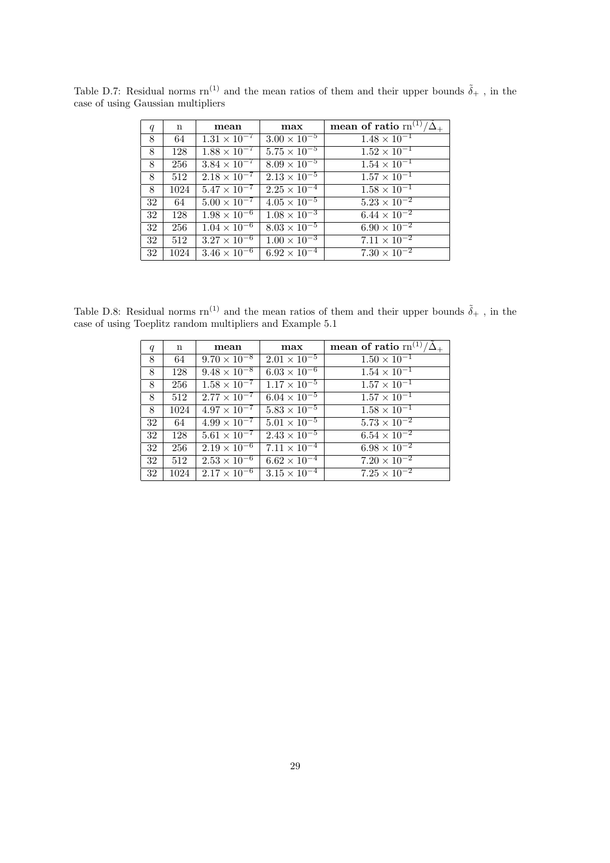| q  | $\mathbf n$ | mean                  | max                                               | mean of ratio $rn^{(1)}$                          |
|----|-------------|-----------------------|---------------------------------------------------|---------------------------------------------------|
| 8  | 64          | $1.31 \times 10^{-7}$ | $3.00 \times 10^{-5}$                             | $1.48 \times 10^{-1}$                             |
| 8  | 128         | $1.88 \times 10^{-7}$ | $5.75 \times 10^{-5}$                             | $\frac{1.52 \times 10^{-1}}{1.52 \times 10^{-1}}$ |
| 8  | 256         | $3.84 \times 10^{-7}$ | $8.09 \times 10^{-5}$                             | $1.54 \times 10^{-1}$                             |
| 8  | 512         | $2.18 \times 10^{-7}$ | $2.13 \times 10^{-5}$                             | $1.57 \times 10^{-1}$                             |
| 8  | 1024        | $5.47 \times 10^{-7}$ | $2.25 \times 10^{-4}$                             | $1.58 \times 10^{-1}$                             |
| 32 | 64          | $5.00 \times 10^{-7}$ | $4.05 \times 10^{-5}$                             | $5.23 \times 10^{-2}$                             |
| 32 | 128         | $1.98 \times 10^{-6}$ | $1.08 \times 10^{-3}$                             | $6.44 \times 10^{-2}$                             |
| 32 | 256         | $1.04 \times 10^{-6}$ | $8.03 \times 10^{-5}$                             | $6.90 \times 10^{-2}$                             |
| 32 | 512         | $3.27 \times 10^{-6}$ | $\frac{1.00 \times 10^{-3}}{1.00 \times 10^{-3}}$ | $7.11 \times 10^{-2}$                             |
| 32 | 1024        | $3.46 \times 10^{-6}$ | $6.92 \times 10^{-4}$                             | $7.\overline{30 \times 10^{-2}}$                  |

Table D.7: Residual norms  $rn^{(1)}$  and the mean ratios of them and their upper bounds  $\tilde{\delta}_+$ , in the case of using Gaussian multipliers

Table D.8: Residual norms  $rn^{(1)}$  and the mean ratios of them and their upper bounds  $\tilde{\delta}_+$ , in the case of using Toeplitz random multipliers and Example 5.1

| $\boldsymbol{q}$ | $\mathbf n$ | mean                         | max                             | mean of ratio $rn^{(1)}/\tilde{\Delta}_+$ |
|------------------|-------------|------------------------------|---------------------------------|-------------------------------------------|
| 8                | 64          | $9.70 \times 10^{-8}$        | $2.01 \times 10^{-5}$           | $1.50 \times 10^{-1}$                     |
| 8                | 128         | $9.48 \times 10^{-8}$        | $6.03 \times 10^{-6}$           | $1.54 \times 10^{-1}$                     |
| 8                | 256         | $\sqrt{1.58 \times 10^{-7}}$ | $\frac{1.17 \times 10^{-5}}{2}$ | $1.57 \times 10^{-1}$                     |
| 8                | 512         | $2.77 \times 10^{-7}$        | $6.04 \times 10^{-5}$           | $1.57 \times 10^{-1}$                     |
| 8                | 1024        | $4.97 \times 10^{-7}$        | $5.83 \times 10^{-5}$           | $1.58 \times 10^{-1}$                     |
| 32               | 64          | $4.99 \times 10^{-7}$        | $5.01 \times 10^{-5}$           | $5.73 \times 10^{-2}$                     |
| 32               | 128         | $5.61 \times 10^{-7}$        | $\sqrt{2.43 \times 10^{-5}}$    | $6.54\times10^{-2}$                       |
| 32               | 256         | $2.19 \times 10^{-6}$        | $7.11 \times 10^{-4}$           | $6.98 \times 10^{-2}$                     |
| 32               | 512         | $2.53 \times 10^{-6}$        | $6.62 \times 10^{-4}$           | $7.20 \times 10^{-2}$                     |
| 32               | 1024        | $2.17 \times 10^{-6}$        | $3.15 \times 10^{-4}$           | $7.25 \times 10^{-2}$                     |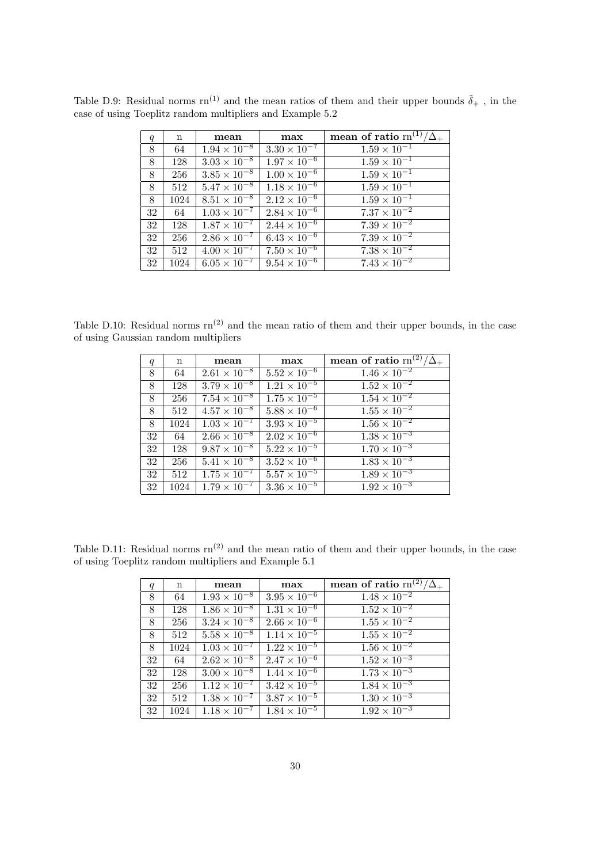| q  | $\mathbf n$ | mean                  | max                   | mean of ratio $rn^{(1)}/\tilde{\Delta}$ . |
|----|-------------|-----------------------|-----------------------|-------------------------------------------|
| 8  | 64          | $1.94 \times 10^{-8}$ | $3.30 \times 10^{-7}$ | $1.59 \times 10^{-1}$                     |
| 8  | 128         | $3.03 \times 10^{-8}$ | $1.97 \times 10^{-6}$ | $\overline{1.59 \times 10^{-1}}$          |
| 8  | 256         | $3.85 \times 10^{-8}$ | $1.00 \times 10^{-6}$ | $1.59 \times 10^{-1}$                     |
| 8  | 512         | $5.47 \times 10^{-8}$ | $1.18 \times 10^{-6}$ | $1.59 \times 10^{-1}$                     |
| 8  | 1024        | $8.51 \times 10^{-8}$ | $2.12 \times 10^{-6}$ | $1.59 \times 10^{-1}$                     |
| 32 | 64          | $1.03 \times 10^{-7}$ | $2.84 \times 10^{-6}$ | $7.37 \times 10^{-2}$                     |
| 32 | 128         | $1.87 \times 10^{-7}$ | $2.44 \times 10^{-6}$ | $7.39 \times 10^{-2}$                     |
| 32 | 256         | $2.86 \times 10^{-7}$ | $6.43 \times 10^{-6}$ | $7.39 \times 10^{-2}$                     |
| 32 | 512         | $4.00 \times 10^{-7}$ | $7.50 \times 10^{-6}$ | $7.38 \times 10^{-2}$                     |
| 32 | 1024        | $6.05 \times 10^{-7}$ | $9.54 \times 10^{-6}$ | $7.43 \times 10^{-2}$                     |

Table D.9: Residual norms  $rn^{(1)}$  and the mean ratios of them and their upper bounds  $\tilde{\delta}_+$ , in the case of using Toeplitz random multipliers and Example 5.2

Table D.10: Residual norms  $rn^{(2)}$  and the mean ratio of them and their upper bounds, in the case of using Gaussian random multipliers

| q  | $\mathbf n$ | mean                  | max                   | mean of ratio $rn^{(2)}/\tilde{\Delta}$ . |
|----|-------------|-----------------------|-----------------------|-------------------------------------------|
| 8  | 64          | $2.61 \times 10^{-8}$ | $5.52 \times 10^{-6}$ | $1.46 \times 10^{-2}$                     |
| 8  | 128         | $3.79 \times 10^{-8}$ | $1.21 \times 10^{-5}$ | $1.\overline{52 \times 10^{-2}}$          |
| 8  | 256         | $7.54 \times 10^{-8}$ | $1.75 \times 10^{-5}$ | $1.54 \times 10^{-2}$                     |
| 8  | 512         | $4.57 \times 10^{-8}$ | $5.88 \times 10^{-6}$ | $1.\overline{55 \times 10^{-2}}$          |
| 8  | 1024        | $1.03 \times 10^{-7}$ | $3.93 \times 10^{-5}$ | $1.\overline{56 \times 10^{-2}}$          |
| 32 | 64          | $2.66 \times 10^{-8}$ | $2.02 \times 10^{-6}$ | $1.38 \times 10^{-3}$                     |
| 32 | 128         | $9.87 \times 10^{-8}$ | $5.22 \times 10^{-5}$ | $1.70 \times 10^{-3}$                     |
| 32 | 256         | $5.41 \times 10^{-8}$ | $3.52 \times 10^{-6}$ | $1.83 \times 10^{-3}$                     |
| 32 | 512         | $1.75 \times 10^{-7}$ | $5.57 \times 10^{-5}$ | $1.89 \times 10^{-3}$                     |
| 32 | 1024        | $1.79 \times 10^{-7}$ | $3.36 \times 10^{-5}$ | $1.92 \times 10^{-3}$                     |

Table D.11: Residual norms  $rn^{(2)}$  and the mean ratio of them and their upper bounds, in the case of using Toeplitz random multipliers and Example 5.1

| $\boldsymbol{q}$ | n    | mean                  | max                                               | mean of ratio $\text{rn}^{(2)}/$ |
|------------------|------|-----------------------|---------------------------------------------------|----------------------------------|
| 8                | 64   | $1.93 \times 10^{-8}$ | $3.95 \times 10^{-6}$                             | $1.\overline{48 \times 10^{-2}}$ |
| 8                | 128  | $1.86 \times 10^{-8}$ | $\frac{1.31 \times 10^{-6}}{1.31 \times 10^{-6}}$ | $1.\overline{52 \times 10^{-2}}$ |
| 8                | 256  | $3.24 \times 10^{-8}$ | $2.66 \times 10^{-6}$                             | $1.55 \times 10^{-2}$            |
| 8                | 512  | $5.58 \times 10^{-8}$ | $1.14 \times 10^{-5}$                             | $1.55 \times 10^{-2}$            |
| 8                | 1024 | $1.03 \times 10^{-7}$ | $1.22 \times 10^{-5}$                             | $1.56 \times 10^{-2}$            |
| 32               | 64   | $2.62 \times 10^{-8}$ | $2.47 \times 10^{-6}$                             | $1.52 \times 10^{-3}$            |
| 32               | 128  | $3.00 \times 10^{-8}$ | $1.44 \times 10^{-6}$                             | $1.73 \times 10^{-3}$            |
| 32               | 256  | $1.12 \times 10^{-7}$ | $3.42 \times 10^{-5}$                             | $1.84 \times 10^{-3}$            |
| 32               | 512  | $1.38 \times 10^{-7}$ | $3.87 \times 10^{-5}$                             | $1.\overline{30 \times 10^{-3}}$ |
| 32               | 1024 | $1.18 \times 10^{-7}$ | $1.84 \times 10^{-5}$                             | $1.92 \times 10^{-3}$            |